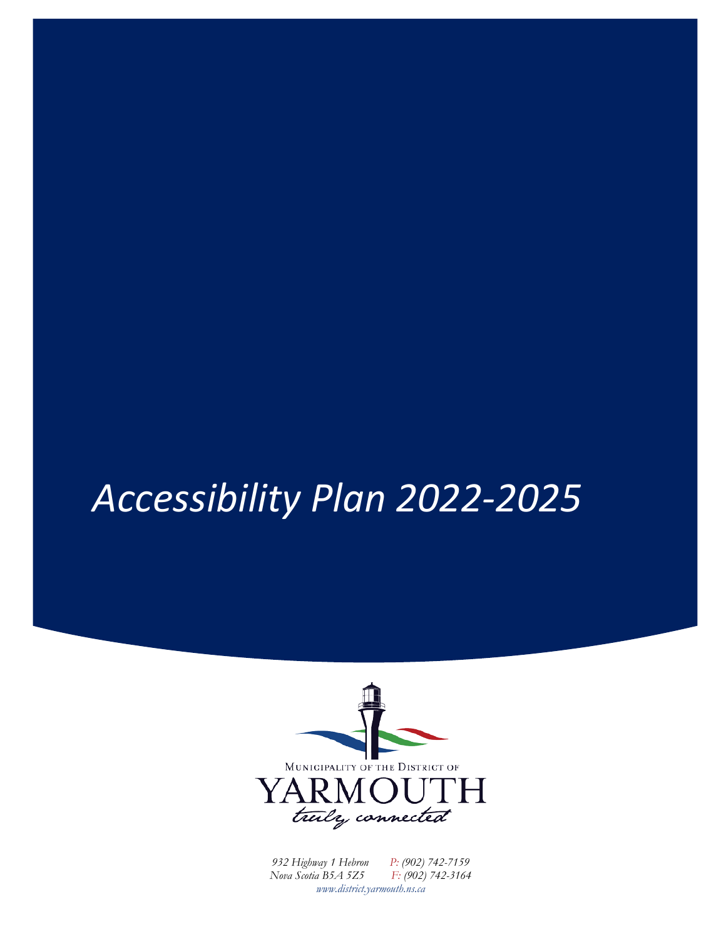# *Accessibility Plan 2022-2025*



*932 Highway 1 Hebron P: (902) 742-7159 Nova Scotia B5A 5Z5 F: (902) 742-3164 www.district.yarmouth.ns.ca*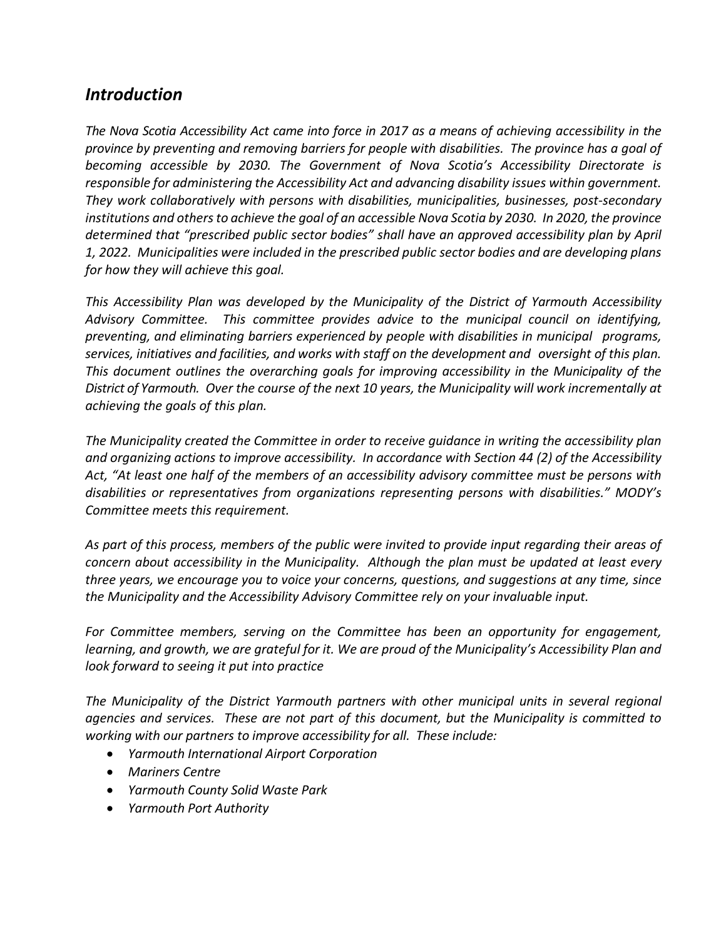## *Introduction*

*The Nova Scotia Accessibility Act came into force in 2017 as a means of achieving accessibility in the province by preventing and removing barriers for people with disabilities. The province has a goal of becoming accessible by 2030. The Government of Nova Scotia's Accessibility Directorate is responsible for administering the Accessibility Act and advancing disability issues within government. They work collaboratively with persons with disabilities, municipalities, businesses, post-secondary institutions and others to achieve the goal of an accessible Nova Scotia by 2030. In 2020, the province determined that "prescribed public sector bodies" shall have an approved accessibility plan by April 1, 2022. Municipalities were included in the prescribed public sector bodies and are developing plans for how they will achieve this goal.* 

*This Accessibility Plan was developed by the Municipality of the District of Yarmouth Accessibility Advisory Committee. This committee provides advice to the municipal council on identifying, preventing, and eliminating barriers experienced by people with disabilities in municipal programs, services, initiatives and facilities, and works with staff on the development and oversight of this plan. This document outlines the overarching goals for improving accessibility in the Municipality of the District of Yarmouth. Over the course of the next 10 years, the Municipality will work incrementally at achieving the goals of this plan.*

*The Municipality created the Committee in order to receive guidance in writing the accessibility plan and organizing actions to improve accessibility. In accordance with Section 44 (2) of the Accessibility Act, "At least one half of the members of an accessibility advisory committee must be persons with disabilities or representatives from organizations representing persons with disabilities." MODY's Committee meets this requirement.*

*As part of this process, members of the public were invited to provide input regarding their areas of concern about accessibility in the Municipality. Although the plan must be updated at least every three years, we encourage you to voice your concerns, questions, and suggestions at any time, since the Municipality and the Accessibility Advisory Committee rely on your invaluable input.*

*For Committee members, serving on the Committee has been an opportunity for engagement, learning, and growth, we are grateful for it. We are proud of the Municipality's Accessibility Plan and look forward to seeing it put into practice*

*The Municipality of the District Yarmouth partners with other municipal units in several regional agencies and services. These are not part of this document, but the Municipality is committed to working with our partners to improve accessibility for all. These include:*

- *Yarmouth International Airport Corporation*
- *Mariners Centre*
- *Yarmouth County Solid Waste Park*
- *Yarmouth Port Authority*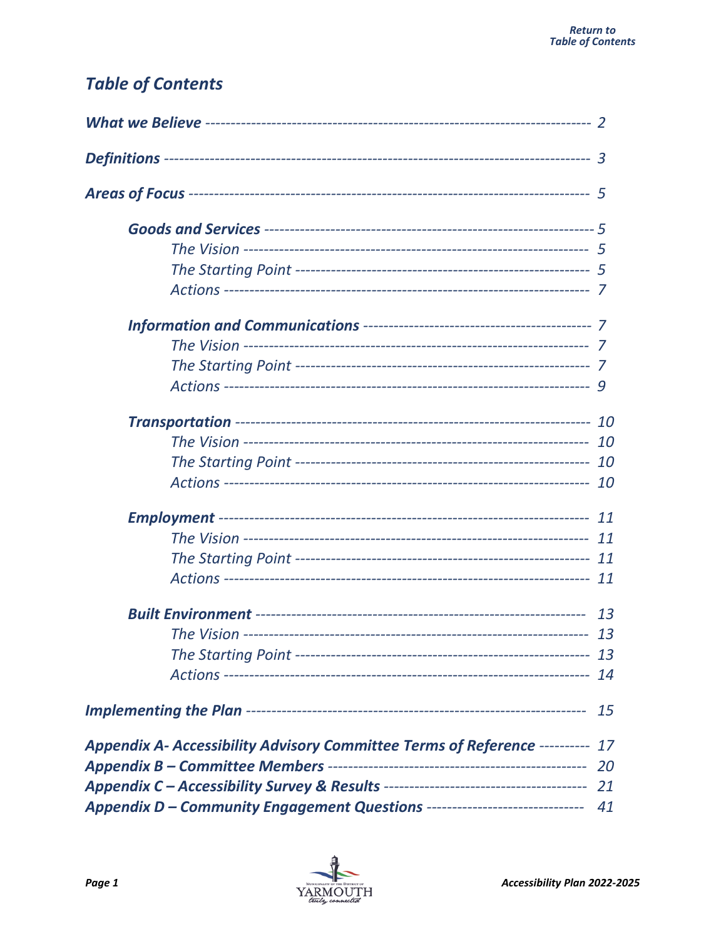## <span id="page-3-0"></span>**Table of Contents**

|                                                                               | 15 |
|-------------------------------------------------------------------------------|----|
| Appendix A- Accessibility Advisory Committee Terms of Reference ---------- 17 |    |
|                                                                               |    |
|                                                                               | 21 |
| Appendix D - Community Engagement Questions ----------------------------- 41  |    |

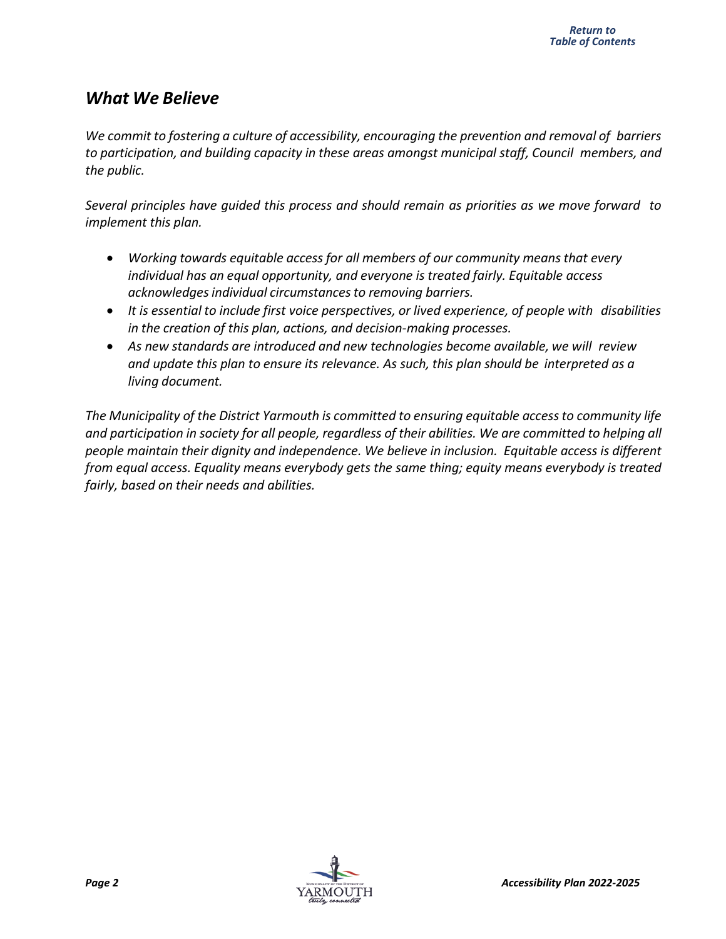## <span id="page-4-0"></span>*What We Believe*

*We commit to fostering a culture of accessibility, encouraging the prevention and removal of barriers to participation, and building capacity in these areas amongst municipal staff, Council members, and the public.*

*Several principles have guided this process and should remain as priorities as we move forward to implement this plan.*

- *Working towards equitable access for all members of our community means that every individual has an equal opportunity, and everyone is treated fairly. Equitable access acknowledgesindividual circumstancesto removing barriers.*
- *It is essential to include first voice perspectives, or lived experience, of people with disabilities in the creation of this plan, actions, and decision-making processes.*
- *As new standards are introduced and new technologies become available, we will review and update this plan to ensure its relevance. As such, this plan should be interpreted as a living document.*

*The Municipality of the District Yarmouth is committed to ensuring equitable access to community life and participation in society for all people, regardless of their abilities. We are committed to helping all people maintain their dignity and independence. We believe in inclusion. Equitable access is different from equal access. Equality means everybody gets the same thing; equity means everybody is treated fairly, based on their needs and abilities.*

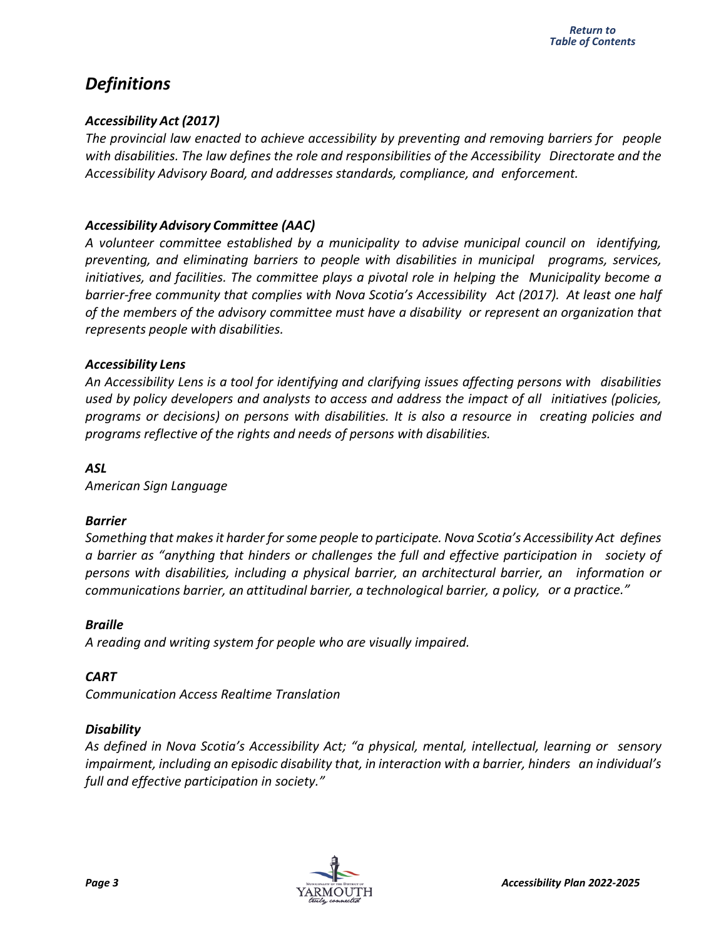## <span id="page-5-0"></span>*Definitions*

#### *Accessibility Act (2017)*

*The provincial law enacted to achieve accessibility by preventing and removing barriers for people with disabilities. The law defines the role and responsibilities of the Accessibility Directorate and the Accessibility Advisory Board, and addresses standards, compliance, and enforcement.*

#### *Accessibility Advisory Committee (AAC)*

*A volunteer committee established by a municipality to advise municipal council on identifying, preventing, and eliminating barriers to people with disabilities in municipal programs, services, initiatives, and facilities. The committee plays a pivotal role in helping the Municipality become a barrier-free community that complies with Nova Scotia's Accessibility Act (2017). At least one half of the members of the advisory committee must have a disability or represent an organization that represents people with disabilities.*

#### *Accessibility Lens*

*An Accessibility Lens is a tool for identifying and clarifying issues affecting persons with disabilities used by policy developers and analysts to access and address the impact of all initiatives (policies, programs or decisions) on persons with disabilities. It is also a resource in creating policies and programs reflective of the rights and needs of persons with disabilities.*

#### *ASL*

*American Sign Language*

#### *Barrier*

*Something that makes it harder forsome people to participate. Nova Scotia's Accessibility Act defines a barrier as "anything that hinders or challenges the full and effective participation in society of persons with disabilities, including a physical barrier, an architectural barrier, an information or communications barrier, an attitudinal barrier, a technological barrier, a policy, or a practice."*

#### *Braille*

*A reading and writing system for people who are visually impaired.*

#### *CART*

*Communication Access Realtime Translation*

#### *Disability*

*As defined in Nova Scotia's Accessibility Act; "a physical, mental, intellectual, learning or sensory impairment, including an episodic disability that, in interaction with a barrier, hinders an individual's full and effective participation in society."*

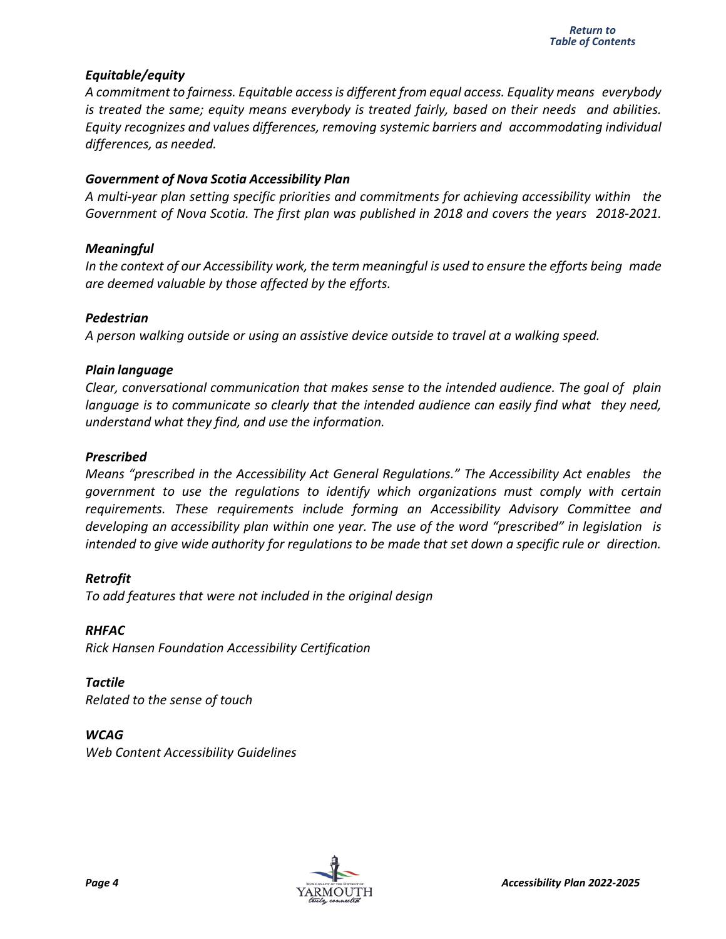#### *Equitable/equity*

*A commitment to fairness. Equitable accessis different from equal access. Equality means everybody is treated the same; equity means everybody is treated fairly, based on their needs and abilities. Equity recognizes and values differences, removing systemic barriers and accommodating individual differences, as needed.*

#### *Government of Nova Scotia Accessibility Plan*

*A multi-year plan setting specific priorities and commitments for achieving accessibility within the Government of Nova Scotia. The first plan was published in 2018 and covers the years 2018-2021.*

#### *Meaningful*

*In the context of our Accessibility work, the term meaningful is used to ensure the efforts being made are deemed valuable by those affected by the efforts.*

#### *Pedestrian*

*A person walking outside or using an assistive device outside to travel at a walking speed.*

#### *Plain language*

*Clear, conversational communication that makes sense to the intended audience. The goal of plain language is to communicate so clearly that the intended audience can easily find what they need, understand what they find, and use the information.*

#### *Prescribed*

*Means "prescribed in the Accessibility Act General Regulations." The Accessibility Act enables the government to use the regulations to identify which organizations must comply with certain requirements. These requirements include forming an Accessibility Advisory Committee and developing an accessibility plan within one year. The use of the word "prescribed" in legislation is intended to give wide authority for regulations to be made that set down a specific rule or direction.*

*Retrofit To add features that were not included in the original design*

*RHFAC Rick Hansen Foundation Accessibility Certification*

*Tactile Related to the sense of touch*

*WCAG Web Content Accessibility Guidelines*

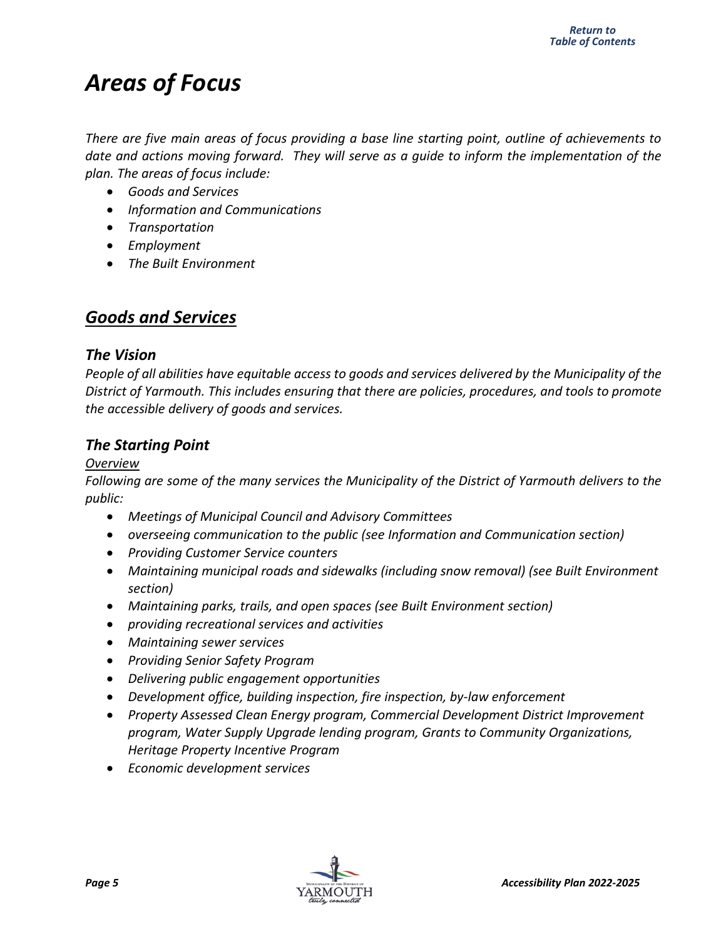## <span id="page-7-0"></span>*Areas of Focus*

*There are five main areas of focus providing a base line starting point, outline of achievements to date and actions moving forward. They will serve as a guide to inform the implementation of the plan. The areas of focus include:*

- *Goods and Services*
- *Information and Communications*
- *Transportation*
- *Employment*
- *The Built Environment*

## *Goods and Services*

#### *The Vision*

*People of all abilities have equitable access to goods and services delivered by the Municipality of the District of Yarmouth. This includes ensuring that there are policies, procedures, and tools to promote the accessible delivery of goods and services.*

## *The Starting Point*

#### *Overview*

*Following are some of the many services the Municipality of the District of Yarmouth delivers to the public:*

- *Meetings of Municipal Council and Advisory Committees*
- *overseeing communication to the public (see Information and Communication section)*
- *Providing Customer Service counters*
- *Maintaining municipal roads and sidewalks (including snow removal) (see Built Environment section)*
- *Maintaining parks, trails, and open spaces (see Built Environment section)*
- *providing recreational services and activities*
- *Maintaining sewer services*
- *Providing Senior Safety Program*
- *Delivering public engagement opportunities*
- *Development office, building inspection, fire inspection, by-law enforcement*
- *Property Assessed Clean Energy program, Commercial Development District Improvement program, Water Supply Upgrade lending program, Grants to Community Organizations, Heritage Property Incentive Program*
- *Economic development services*

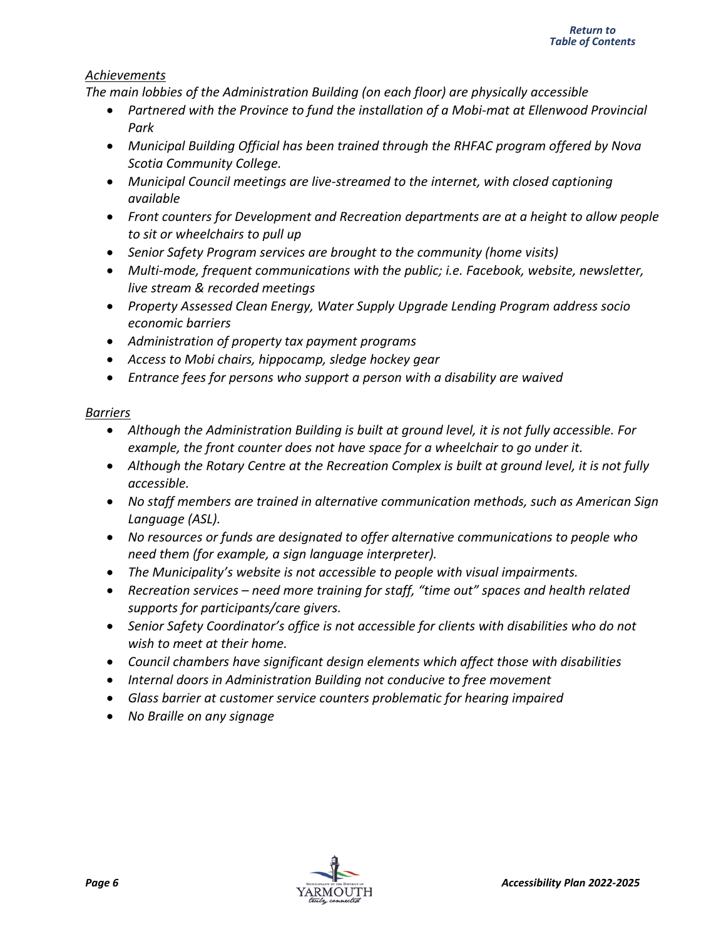#### *Achievements*

*The main lobbies of the Administration Building (on each floor) are physically accessible*

- *Partnered with the Province to fund the installation of a Mobi-mat at Ellenwood Provincial Park*
- *Municipal Building Official has been trained through the RHFAC program offered by Nova Scotia Community College.*
- *Municipal Council meetings are live-streamed to the internet, with closed captioning available*
- *Front counters for Development and Recreation departments are at a height to allow people to sit or wheelchairs to pull up*
- *Senior Safety Program services are brought to the community (home visits)*
- *Multi-mode, frequent communications with the public; i.e. Facebook, website, newsletter, live stream & recorded meetings*
- *Property Assessed Clean Energy, Water Supply Upgrade Lending Program address socio economic barriers*
- *Administration of property tax payment programs*
- *Access to Mobi chairs, hippocamp, sledge hockey gear*
- *Entrance fees for persons who support a person with a disability are waived*

#### *Barriers*

- *Although the Administration Building is built at ground level, it is not fully accessible. For example, the front counter does not have space for a wheelchair to go under it.*
- *Although the Rotary Centre at the Recreation Complex is built at ground level, it is not fully accessible.*
- *No staff members are trained in alternative communication methods, such as American Sign Language (ASL).*
- *No resources or funds are designated to offer alternative communications to people who need them (for example, a sign language interpreter).*
- *The Municipality's website is not accessible to people with visual impairments.*
- *Recreation services – need more training for staff, "time out" spaces and health related supports for participants/care givers.*
- *Senior Safety Coordinator's office is not accessible for clients with disabilities who do not wish to meet at their home.*
- *Council chambers have significant design elements which affect those with disabilities*
- *Internal doors in Administration Building not conducive to free movement*
- *Glass barrier at customer service counters problematic for hearing impaired*
- *No Braille on any signage*

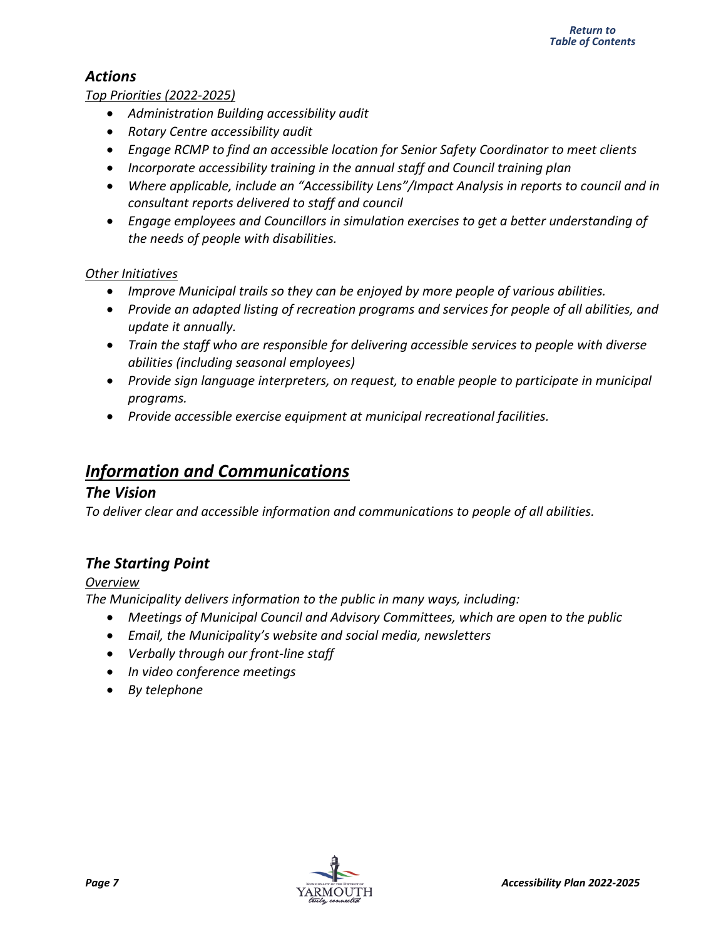### <span id="page-9-0"></span>*Actions*

#### *Top Priorities (2022-2025)*

- *Administration Building accessibility audit*
- *Rotary Centre accessibility audit*
- *Engage RCMP to find an accessible location for Senior Safety Coordinator to meet clients*
- *Incorporate accessibility training in the annual staff and Council training plan*
- *Where applicable, include an "Accessibility Lens"/Impact Analysis in reports to council and in consultant reports delivered to staff and council*
- *Engage employees and Councillors in simulation exercises to get a better understanding of the needs of people with disabilities.*

#### *Other Initiatives*

- *Improve Municipal trails so they can be enjoyed by more people of various abilities.*
- *Provide an adapted listing of recreation programs and services for people of all abilities, and update it annually.*
- *Train the staff who are responsible for delivering accessible services to people with diverse abilities (including seasonal employees)*
- *Provide sign language interpreters, on request, to enable people to participate in municipal programs.*
- *Provide accessible exercise equipment at municipal recreational facilities.*

## *Information and Communications*

#### *The Vision*

*To deliver clear and accessible information and communications to people of all abilities.*

### *The Starting Point*

#### *Overview*

*The Municipality delivers information to the public in many ways, including:*

- *Meetings of Municipal Council and Advisory Committees, which are open to the public*
- *Email, the Municipality's website and social media, newsletters*
- *Verbally through our front-line staff*
- *In video conference meetings*
- *By telephone*

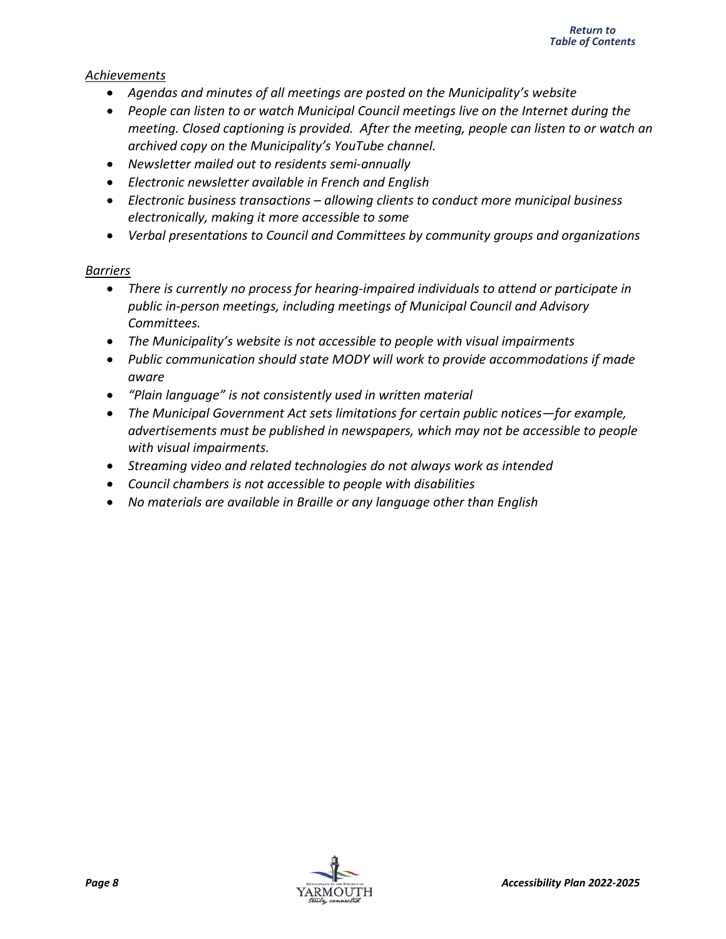#### *Achievements*

- *Agendas and minutes of all meetings are posted on the Municipality's website*
- *People can listen to or watch Municipal Council meetings live on the Internet during the meeting. Closed captioning is provided. After the meeting, people can listen to or watch an archived copy on the Municipality's YouTube channel.*
- *Newsletter mailed out to residents semi-annually*
- *Electronic newsletter available in French and English*
- *Electronic business transactions – allowing clients to conduct more municipal business electronically, making it more accessible to some*
- *Verbal presentations to Council and Committees by community groups and organizations*

#### *Barriers*

- *There is currently no process for hearing-impaired individuals to attend or participate in public in-person meetings, including meetings of Municipal Council and Advisory Committees.*
- *The Municipality's website is not accessible to people with visual impairments*
- *Public communication should state MODY will work to provide accommodations if made aware*
- *"Plain language" is not consistently used in written material*
- The Municipal Government Act sets limitations for certain public notices—for example, *advertisements must be published in newspapers, which may not be accessible to people with visual impairments.*
- *Streaming video and related technologies do not always work as intended*
- *Council chambers is not accessible to people with disabilities*
- *No materials are available in Braille or any language other than English*

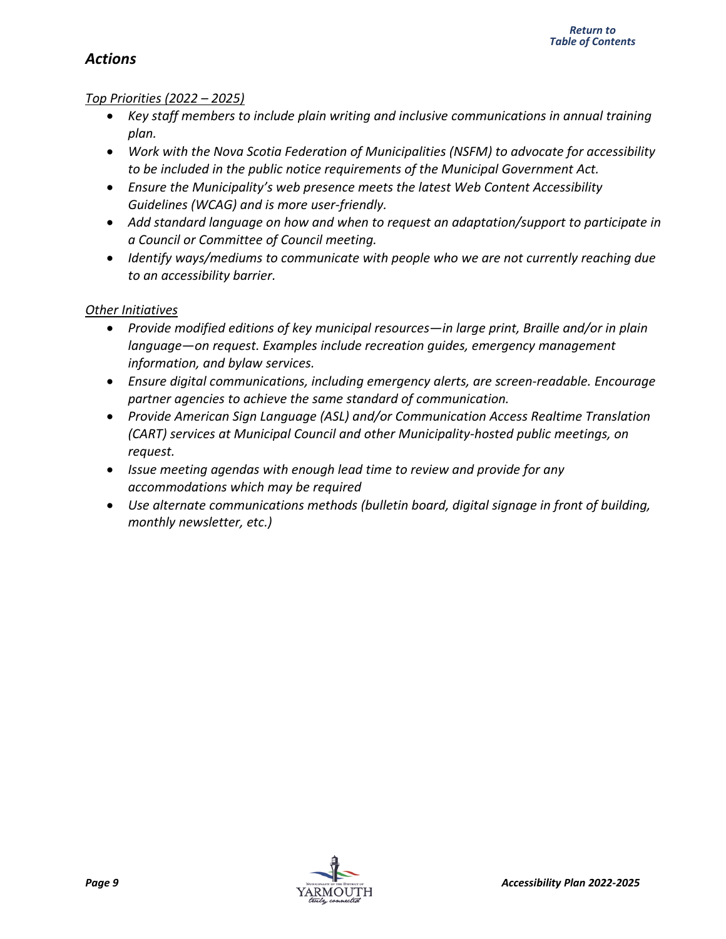#### *Return to [Table of Contents](#page-3-0)*

### <span id="page-11-0"></span>*Actions*

#### *Top Priorities (2022 – 2025)*

- *Key staff members to include plain writing and inclusive communications in annual training plan.*
- *Work with the Nova Scotia Federation of Municipalities (NSFM) to advocate for accessibility to be included in the public notice requirements of the Municipal Government Act.*
- *Ensure the Municipality's web presence meets the latest Web Content Accessibility Guidelines (WCAG) and is more user-friendly.*
- *Add standard language on how and when to request an adaptation/support to participate in a Council or Committee of Council meeting.*
- *Identify ways/mediums to communicate with people who we are not currently reaching due to an accessibility barrier.*

#### *Other Initiatives*

- *Provide modified editions of key municipal resources—in large print, Braille and/or in plain language—on request. Examples include recreation guides, emergency management information, and bylaw services.*
- *Ensure digital communications, including emergency alerts, are screen-readable. Encourage partner agencies to achieve the same standard of communication.*
- *Provide American Sign Language (ASL) and/or Communication Access Realtime Translation (CART) services at Municipal Council and other Municipality-hosted public meetings, on request.*
- *Issue meeting agendas with enough lead time to review and provide for any accommodations which may be required*
- *Use alternate communications methods (bulletin board, digital signage in front of building, monthly newsletter, etc.)*

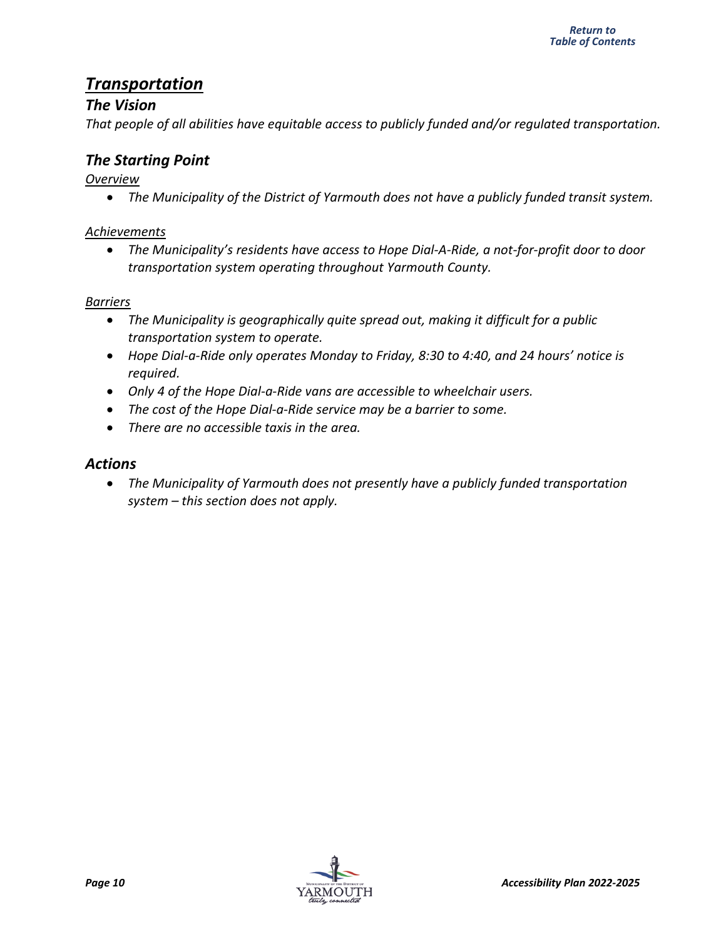## <span id="page-12-0"></span>*Transportation*

#### *The Vision*

*That people of all abilities have equitable access to publicly funded and/or regulated transportation.*

### *The Starting Point*

#### *Overview*

• *The Municipality of the District of Yarmouth does not have a publicly funded transit system.*

#### *Achievements*

• *The Municipality's residents have access to Hope Dial-A-Ride, a not-for-profit door to door transportation system operating throughout Yarmouth County.*

#### *Barriers*

- *The Municipality is geographically quite spread out, making it difficult for a public transportation system to operate.*
- *Hope Dial-a-Ride only operates Monday to Friday, 8:30 to 4:40, and 24 hours' notice is required.*
- *Only 4 of the Hope Dial-a-Ride vans are accessible to wheelchair users.*
- *The cost of the Hope Dial-a-Ride service may be a barrier to some.*
- *There are no accessible taxis in the area.*

#### *Actions*

• *The Municipality of Yarmouth does not presently have a publicly funded transportation system – this section does not apply.*

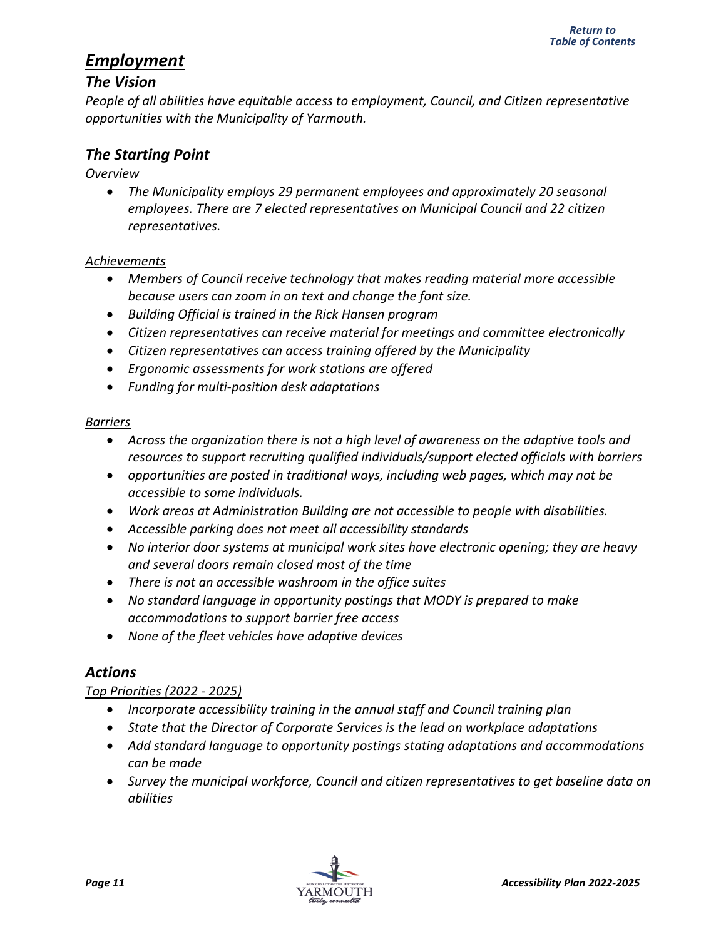## <span id="page-13-0"></span>*Employment*

#### *The Vision*

*People of all abilities have equitable access to employment, Council, and Citizen representative opportunities with the Municipality of Yarmouth.* 

#### *The Starting Point*

#### *Overview*

• *The Municipality employs 29 permanent employees and approximately 20 seasonal employees. There are 7 elected representatives on Municipal Council and 22 citizen representatives.*

#### *Achievements*

- *Members of Council receive technology that makes reading material more accessible because users can zoom in on text and change the font size.*
- *Building Official is trained in the Rick Hansen program*
- *Citizen representatives can receive material for meetings and committee electronically*
- *Citizen representatives can access training offered by the Municipality*
- *Ergonomic assessments for work stations are offered*
- *Funding for multi-position desk adaptations*

#### *Barriers*

- *Across the organization there is not a high level of awareness on the adaptive tools and resources to support recruiting qualified individuals/support elected officials with barriers*
- *opportunities are posted in traditional ways, including web pages, which may not be accessible to some individuals.*
- *Work areas at Administration Building are not accessible to people with disabilities.*
- *Accessible parking does not meet all accessibility standards*
- *[No interior door systems at municipal work sites have electronic opening; they are heavy](#page-3-0)  and several doors remain closed most of the time*
- *There is not an accessible washroom in the office suites*
- *No standard language in opportunity postings that MODY is prepared to make accommodations to support barrier free access*
- *None of the fleet vehicles have adaptive devices*

### *Actions*

#### *Top Priorities (2022 - 2025)*

- *Incorporate accessibility training in the annual staff and Council training plan*
- *State that the Director of Corporate Services is the lead on workplace adaptations*
- *Add standard language to opportunity postings stating adaptations and accommodations can be made*
- *Survey the municipal workforce, Council and citizen representatives to get baseline data on abilities*

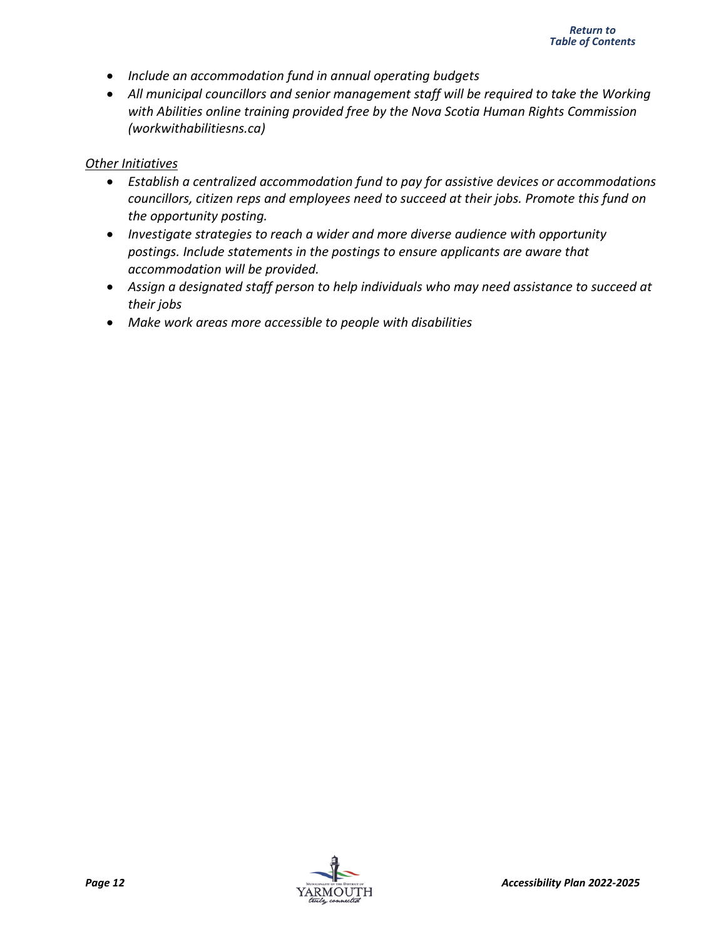- *Include an accommodation fund in annual operating budgets*
- *All municipal councillors and senior management staff will be required to take the Working with Abilities online training provided free by the Nova Scotia Human Rights Commission (workwithabilitiesns.ca)*

#### *Other Initiatives*

- *Establish a centralized accommodation fund to pay for assistive devices or accommodations councillors, citizen reps and employees need to succeed at their jobs. Promote this fund on the opportunity posting.*
- *Investigate strategies to reach a wider and more diverse audience with opportunity postings. Include statements in the postings to ensure applicants are aware that accommodation will be provided.*
- *Assign a designated staff person to help individuals who may need assistance to succeed at their jobs*
- *Make work areas more accessible to people with disabilities*

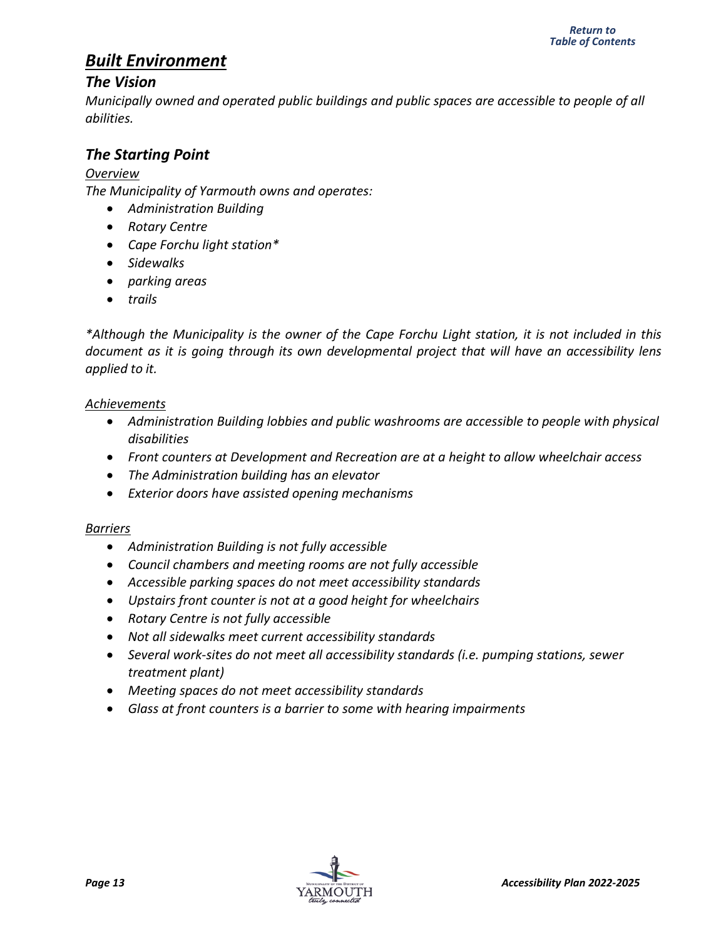## <span id="page-15-0"></span>*Built Environment*

#### *The Vision*

*Municipally owned and operated public buildings and public spaces are accessible to people of all abilities.*

#### *The Starting Point*

#### *Overview*

*The Municipality of Yarmouth owns and operates:*

- *Administration Building*
- *Rotary Centre*
- *Cape Forchu light station\**
- *Sidewalks*
- *parking areas*
- *trails*

*\*Although the Municipality is the owner of the Cape Forchu Light station, it is not included in this document as it is going through its own developmental project that will have an accessibility lens applied to it.*

#### *Achievements*

- *Administration Building lobbies and public washrooms are accessible to people with physical disabilities*
- *Front counters at Development and Recreation are at a height to allow wheelchair access*
- *The Administration building has an elevator*
- *Exterior doors have assisted opening mechanisms*

#### *Barriers*

- *Administration Building is not fully accessible*
- *Council chambers and meeting rooms are not fully accessible*
- *Accessible parking spaces do not meet accessibility standards*
- *Upstairs front counter is not at a good height for wheelchairs*
- *Rotary Centre is not fully accessible*
- *Not all sidewalks meet current accessibility standards*
- *Several work-sites do not meet all accessibility standards (i.e. pumping stations, sewer treatment plant)*
- *Meeting spaces do not meet accessibility standards*
- *Glass at front counters is a barrier to some with hearing impairments*

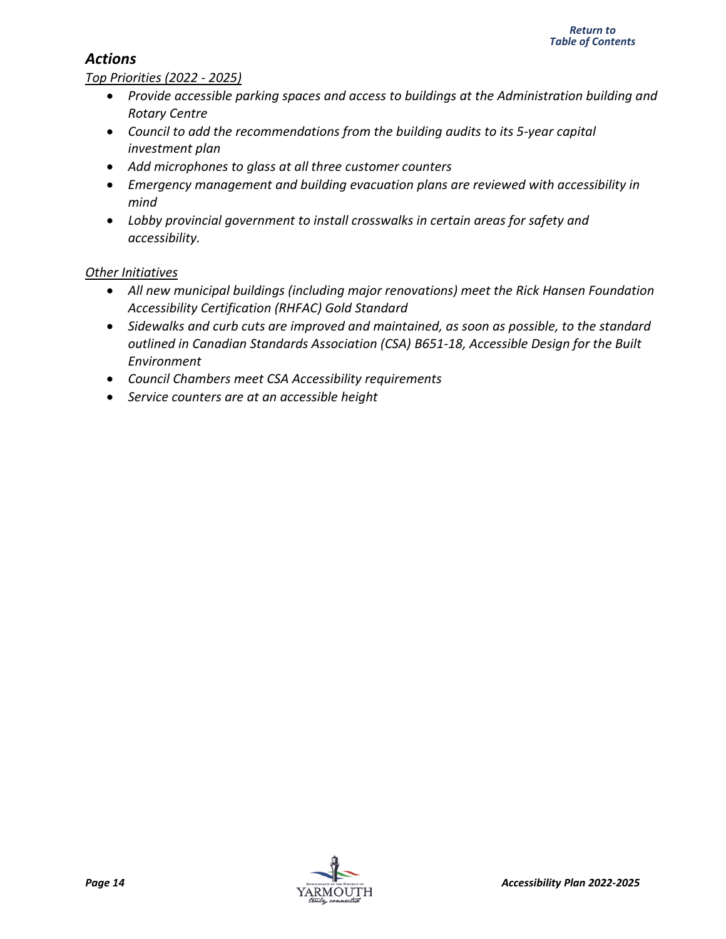#### <span id="page-16-0"></span>*Actions*

#### *Top Priorities (2022 - 2025)*

- *Provide accessible parking spaces and access to buildings at the Administration building and Rotary Centre*
- *Council to add the recommendations from the building audits to its 5-year capital investment plan*
- *Add microphones to glass at all three customer counters*
- *Emergency management and building evacuation plans are reviewed with accessibility in mind*
- *Lobby provincial government to install crosswalks in certain areas for safety and accessibility.*

#### *Other Initiatives*

- *All new municipal buildings (including major renovations) meet the Rick Hansen Foundation Accessibility Certification (RHFAC) Gold Standard*
- *Sidewalks and curb cuts are improved and maintained, as soon as possible, to the standard outlined in Canadian Standards Association (CSA) B651-18, Accessible Design for the Built Environment*
- *Council Chambers meet CSA Accessibility requirements*
- *Service counters are at an accessible height*

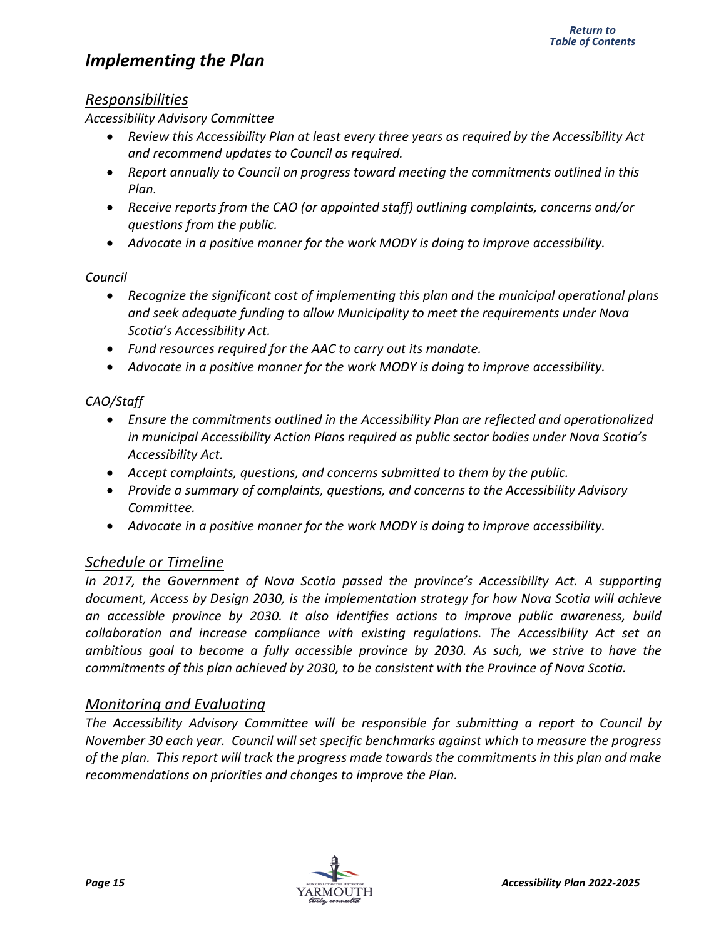## <span id="page-17-0"></span>*Implementing the Plan*

#### *Responsibilities*

*Accessibility Advisory Committee*

- *Review this Accessibility Plan at least every three years as required by the Accessibility Act and recommend updates to Council as required.*
- *Report annually to Council on progress toward meeting the commitments outlined in this Plan.*
- *Receive reports from the CAO (or appointed staff) outlining complaints, concerns and/or questions from the public.*
- *Advocate in a positive manner for the work MODY is doing to improve accessibility.*

#### *Council*

- *Recognize the significant cost of implementing this plan and the municipal operational plans and seek adequate funding to allow Municipality to meet the requirements under Nova Scotia's Accessibility Act.*
- *Fund resources required for the AAC to carry out its mandate.*
- *Advocate in a positive manner for the work MODY is doing to improve accessibility.*

#### *CAO/Staff*

- *Ensure the commitments outlined in the Accessibility Plan are reflected and operationalized in municipal Accessibility Action Plans required as public sector bodies under Nova Scotia's Accessibility Act.*
- *Accept complaints, questions, and concerns submitted to them by the public.*
- *Provide a summary of complaints, questions, and concerns to the Accessibility Advisory Committee.*
- *Advocate in a positive manner for the work MODY is doing to improve accessibility.*

#### *Schedule or Timeline*

*In 2017, the Government of Nova Scotia passed the province's Accessibility Act. A supporting document, Access by Design 2030, is the implementation strategy for how Nova Scotia will achieve an accessible province by 2030. It also identifies actions to improve public awareness, build collaboration and increase compliance with existing regulations. The Accessibility Act set an ambitious goal to become a fully accessible province by 2030. As such, we strive to have the commitments of this plan achieved by 2030, to be consistent with the Province of Nova Scotia.*

#### *Monitoring and Evaluating*

*The Accessibility Advisory Committee will be responsible for submitting a report to Council by November 30 each year. Council will set specific benchmarks against which to measure the progress of the plan. This report will track the progress made towards the commitments in this plan and make recommendations on priorities and changes to improve the Plan.*

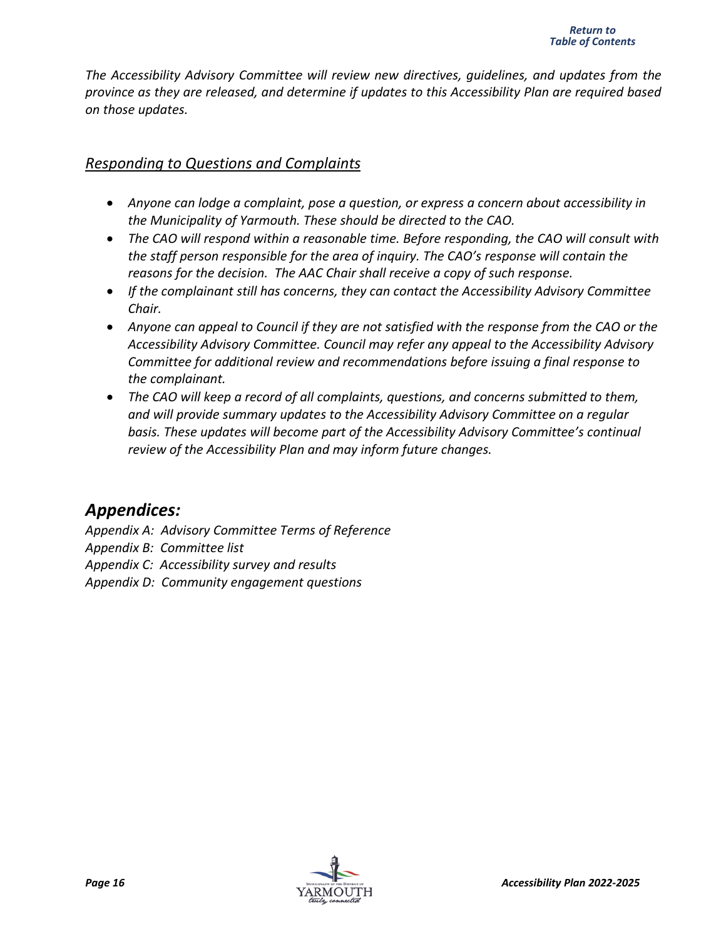*The Accessibility Advisory Committee will review new directives, guidelines, and updates from the province as they are released, and determine if updates to this Accessibility Plan are required based on those updates.* 

#### *Responding to Questions and Complaints*

- *Anyone can lodge a complaint, pose a question, or express a concern about accessibility in the Municipality of Yarmouth. These should be directed to the CAO.*
- *The CAO will respond within a reasonable time. Before responding, the CAO will consult with the staff person responsible for the area of inquiry. The CAO's response will contain the reasons for the decision. The AAC Chair shall receive a copy of such response.*
- *If the complainant still has concerns, they can contact the Accessibility Advisory Committee Chair.*
- *Anyone can appeal to Council if they are not satisfied with the response from the CAO or the Accessibility Advisory Committee. Council may refer any appeal to the Accessibility Advisory Committee for additional review and recommendations before issuing a final response to the complainant.*
- *The CAO will keep a record of all complaints, questions, and concerns submitted to them, and will provide summary updates to the Accessibility Advisory Committee on a regular basis. These updates will become part of the Accessibility Advisory Committee's continual review of the Accessibility Plan and may inform future changes.*

## *Appendices:*

*Appendix A: Advisory Committee Terms of Reference Appendix B: Committee list Appendix C: Accessibility survey and results Appendix D: Community engagement questions*

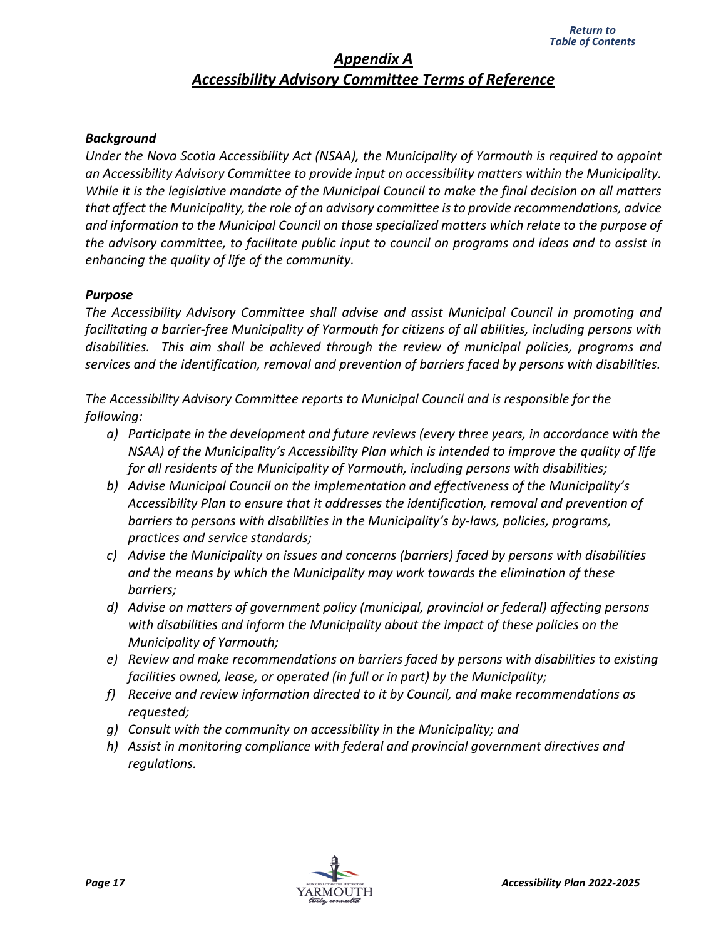#### *Appendix A Accessibility Advisory Committee Terms of Reference*

#### <span id="page-19-0"></span>*Background*

*Under the Nova Scotia Accessibility Act (NSAA), the Municipality of Yarmouth is required to appoint an Accessibility Advisory Committee to provide input on accessibility matters within the Municipality. While it is the legislative mandate of the Municipal Council to make the final decision on all matters that affect the Municipality, the role of an advisory committee is to provide recommendations, advice and information to the Municipal Council on those specialized matters which relate to the purpose of the advisory committee, to facilitate public input to council on programs and ideas and to assist in enhancing the quality of life of the community.*

#### *Purpose*

*The Accessibility Advisory Committee shall advise and assist Municipal Council in promoting and facilitating a barrier-free Municipality of Yarmouth for citizens of all abilities, including persons with disabilities. This aim shall be achieved through the review of municipal policies, programs and services and the identification, removal and prevention of barriers faced by persons with disabilities.*

*The Accessibility Advisory Committee reports to Municipal Council and is responsible for the following:*

- *a) Participate in the development and future reviews (every three years, in accordance with the NSAA) of the Municipality's Accessibility Plan which is intended to improve the quality of life for all residents of the Municipality of Yarmouth, including persons with disabilities;*
- *b) Advise Municipal Council on the implementation and effectiveness of the Municipality's Accessibility Plan to ensure that it addresses the identification, removal and prevention of barriers to persons with disabilities in the Municipality's by-laws, policies, programs, practices and service standards;*
- *c) Advise the Municipality on issues and concerns (barriers) faced by persons with disabilities and the means by which the Municipality may work towards the elimination of these barriers;*
- *d) Advise on matters of government policy (municipal, provincial or federal) affecting persons with disabilities and inform the Municipality about the impact of these policies on the Municipality of Yarmouth;*
- *e) Review and make recommendations on barriers faced by persons with disabilities to existing facilities owned, lease, or operated (in full or in part) by the Municipality;*
- *f) Receive and review information directed to it by Council, and make recommendations as requested;*
- *g) Consult with the community on accessibility in the Municipality; and*
- *h) Assist in monitoring compliance with federal and provincial government directives and regulations.*

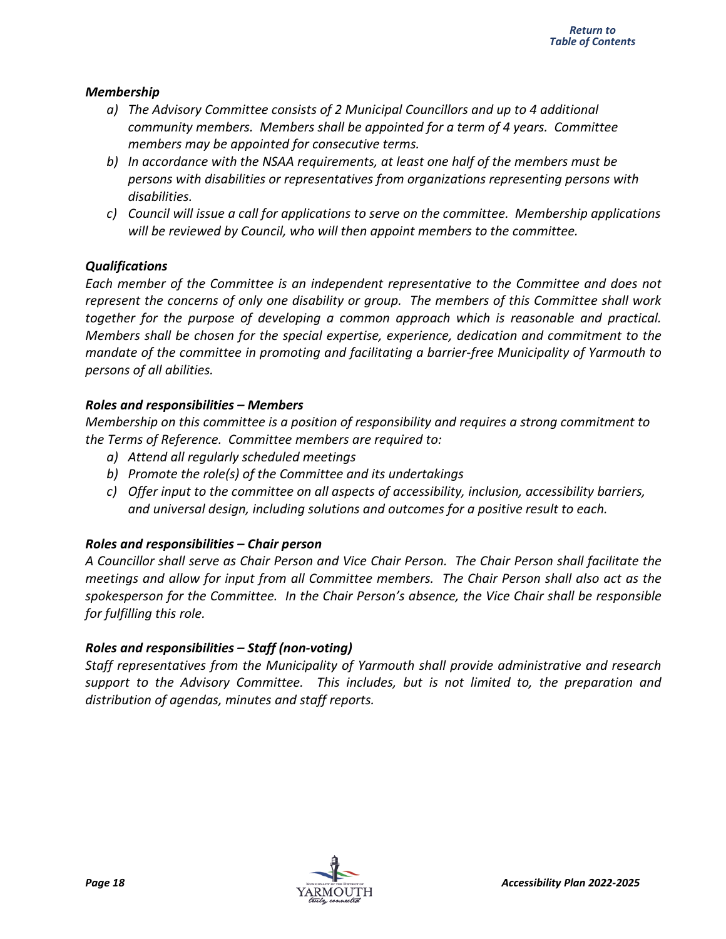#### *Membership*

- *a) The Advisory Committee consists of 2 Municipal Councillors and up to 4 additional community members. Members shall be appointed for a term of 4 years. Committee members may be appointed for consecutive terms.*
- *b) In accordance with the NSAA requirements, at least one half of the members must be persons with disabilities or representatives from organizations representing persons with disabilities.*
- *c) Council will issue a call for applications to serve on the committee. Membership applications will be reviewed by Council, who will then appoint members to the committee.*

#### *Qualifications*

*Each member of the Committee is an independent representative to the Committee and does not represent the concerns of only one disability or group. The members of this Committee shall work together for the purpose of developing a common approach which is reasonable and practical. Members shall be chosen for the special expertise, experience, dedication and commitment to the mandate of the committee in promoting and facilitating a barrier-free Municipality of Yarmouth to persons of all abilities.*

#### *Roles and responsibilities – Members*

*Membership on this committee is a position of responsibility and requires a strong commitment to the Terms of Reference. Committee members are required to:*

- *a) Attend all regularly scheduled meetings*
- *b) Promote the role(s) of the Committee and its undertakings*
- *c) Offer input to the committee on all aspects of accessibility, inclusion, accessibility barriers, and universal design, including solutions and outcomes for a positive result to each.*

#### *Roles and responsibilities – Chair person*

*A Councillor shall serve as Chair Person and Vice Chair Person. The Chair Person shall facilitate the meetings and allow for input from all Committee members. The Chair Person shall also act as the spokesperson for the Committee. In the Chair Person's absence, the Vice Chair shall be responsible for fulfilling this role.*

#### *Roles and responsibilities – Staff (non-voting)*

*Staff representatives from the Municipality of Yarmouth shall provide administrative and research support to the Advisory Committee. This includes, but is not limited to, the preparation and distribution of agendas, minutes and staff reports.*

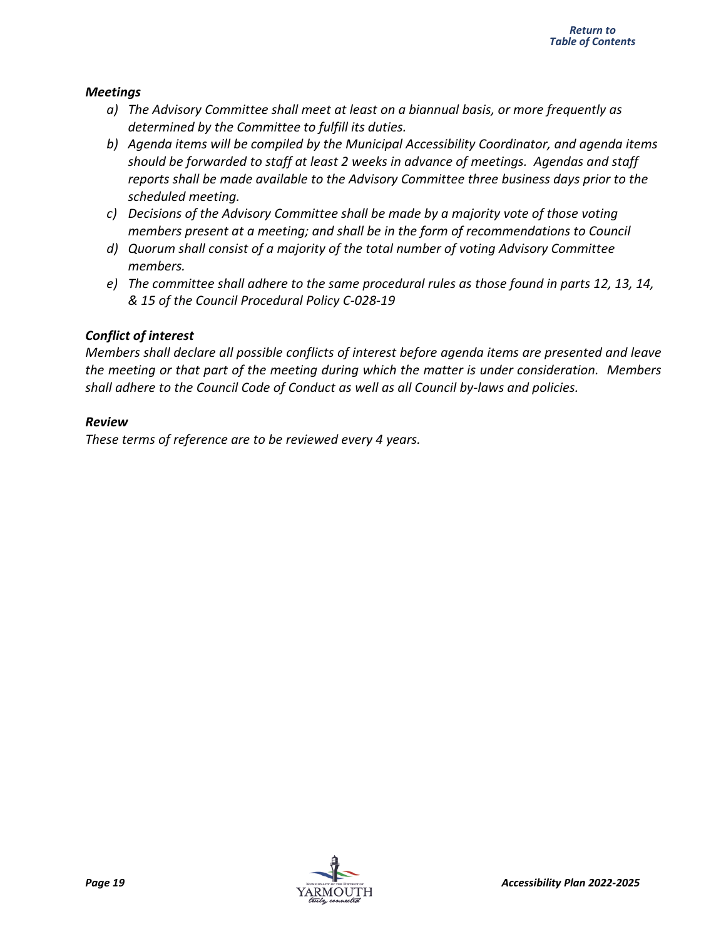#### *Meetings*

- *a) The Advisory Committee shall meet at least on a biannual basis, or more frequently as determined by the Committee to fulfill its duties.*
- *b) Agenda items will be compiled by the Municipal Accessibility Coordinator, and agenda items should be forwarded to staff at least 2 weeks in advance of meetings. Agendas and staff reports shall be made available to the Advisory Committee three business days prior to the scheduled meeting.*
- *c) Decisions of the Advisory Committee shall be made by a majority vote of those voting members present at a meeting; and shall be in the form of recommendations to Council*
- *d) Quorum shall consist of a majority of the total number of voting Advisory Committee members.*
- *e) The committee shall adhere to the same procedural rules as those found in parts 12, 13, 14, & 15 of the Council Procedural Policy C-028-19*

#### *Conflict of interest*

*Members shall declare all possible conflicts of interest before agenda items are presented and leave the meeting or that part of the meeting during which the matter is under consideration. Members shall adhere to the Council Code of Conduct as well as all Council by-laws and policies.*

#### *Review*

*These terms of reference are to be reviewed every 4 years.*

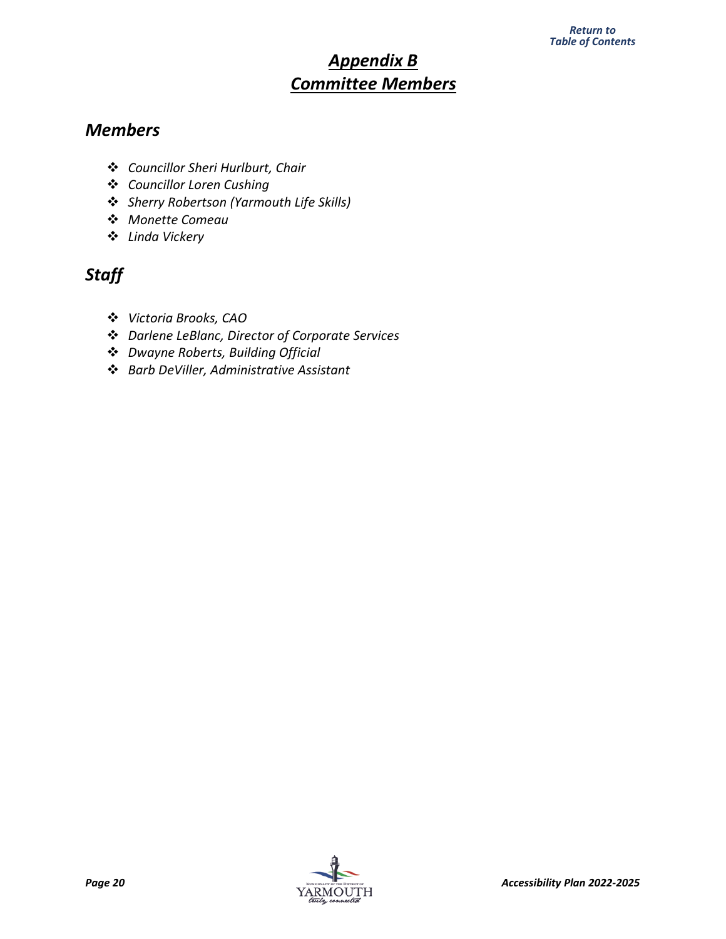## *Appendix B Committee Members*

## <span id="page-22-0"></span>*Members*

- *Councillor Sheri Hurlburt, Chair*
- *Councillor Loren Cushing*
- *Sherry Robertson (Yarmouth Life Skills)*
- *Monette Comeau*
- *Linda Vickery*

## *Staff*

- *Victoria Brooks, CAO*
- *Darlene LeBlanc, Director of Corporate Services*
- *Dwayne Roberts, Building Official*
- *Barb DeViller, Administrative Assistant*

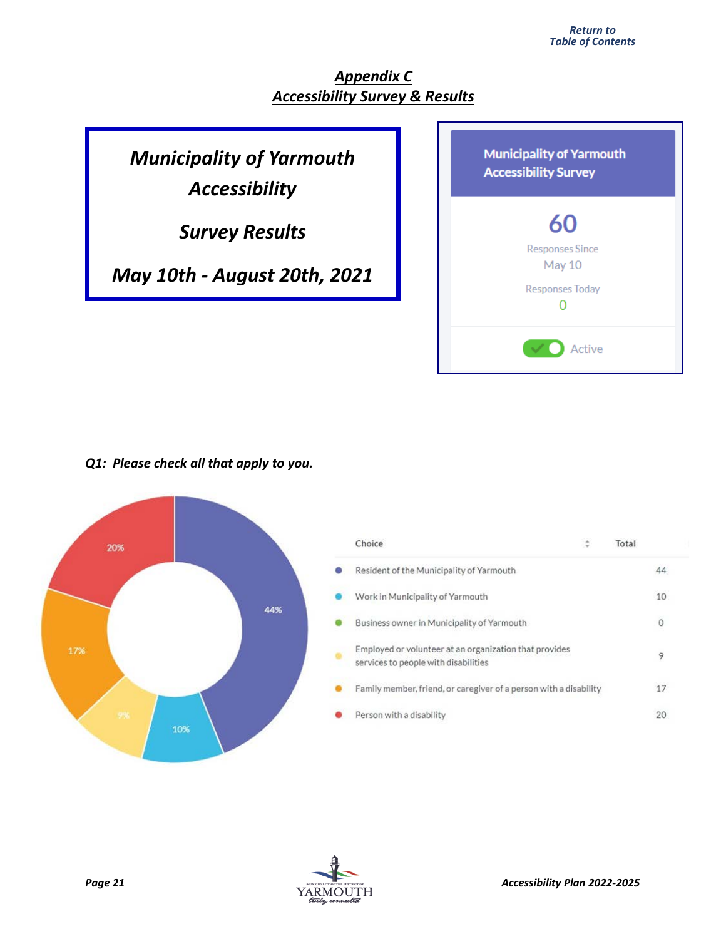## *Appendix C Accessibility Survey & Results*

## <span id="page-23-0"></span>*Municipality of Yarmouth Accessibility*

*Survey Results*

*May 10th - August 20th, 2021*

| <b>Municipality of Yarmouth</b><br><b>Accessibility Survey</b> |
|----------------------------------------------------------------|
| 60                                                             |
| <b>Responses Since</b><br>May 10                               |
| Responses Today                                                |
| Active                                                         |

*Q1: Please check all that apply to you.*



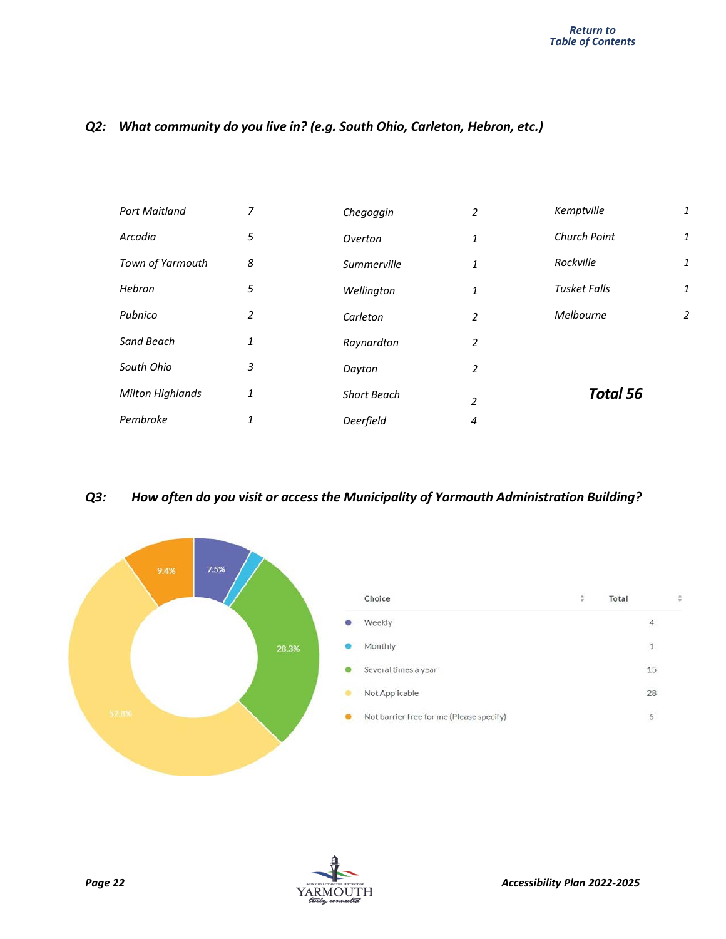#### *Q2: What community do you live in? (e.g. South Ohio, Carleton, Hebron, etc.)*

| <b>Port Maitland</b>    | 7 | Chegoggin          | 2              | Kemptville          | 1 |
|-------------------------|---|--------------------|----------------|---------------------|---|
| Arcadia                 | 5 | Overton            | 1              | Church Point        | 1 |
| Town of Yarmouth        | 8 | Summerville        | 1              | Rockville           | 1 |
| Hebron                  | 5 | Wellington         | 1              | <b>Tusket Falls</b> | 1 |
| Pubnico                 | 2 | Carleton           | $\overline{2}$ | Melbourne           | 2 |
| Sand Beach              | 1 | Raynardton         | 2              |                     |   |
| South Ohio              | 3 | Dayton             | $\overline{2}$ |                     |   |
| <b>Milton Highlands</b> | 1 | <b>Short Beach</b> | $\overline{2}$ | <b>Total 56</b>     |   |
| Pembroke                | 1 | Deerfield          | 4              |                     |   |

#### *Q3: How often do you visit or access the Municipality of Yarmouth Administration Building?*



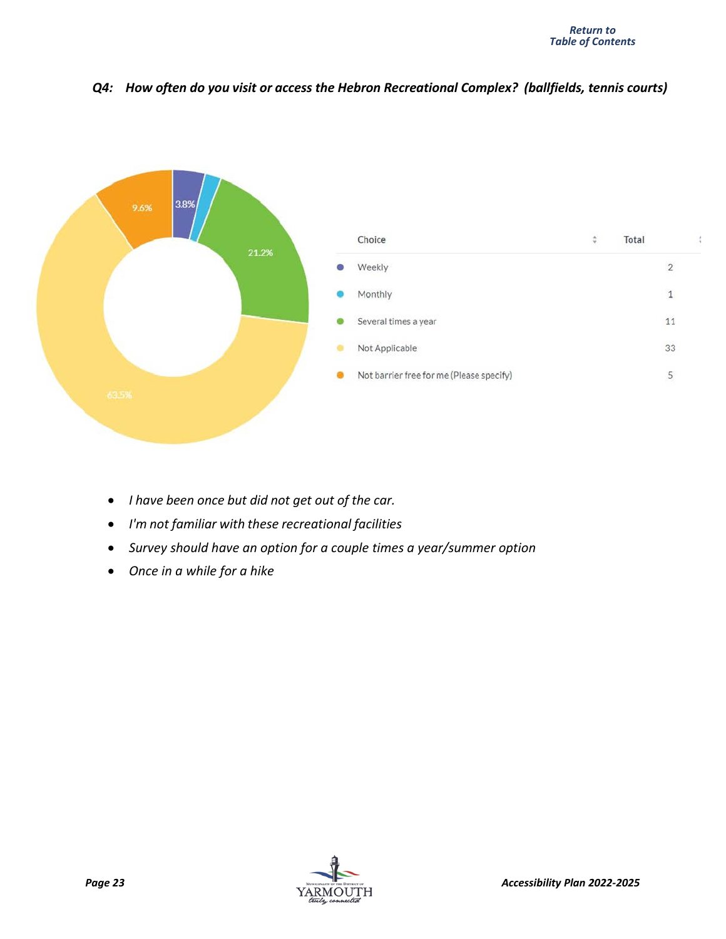#### *Q4: How often do you visit or access the Hebron Recreational Complex? (ballfields, tennis courts)*



- *I have been once but did not get out of the car.*
- *I'm not familiar with these recreational facilities*
- *Survey should have an option for a couple times a year/summer option*
- *Once in a while for a hike*

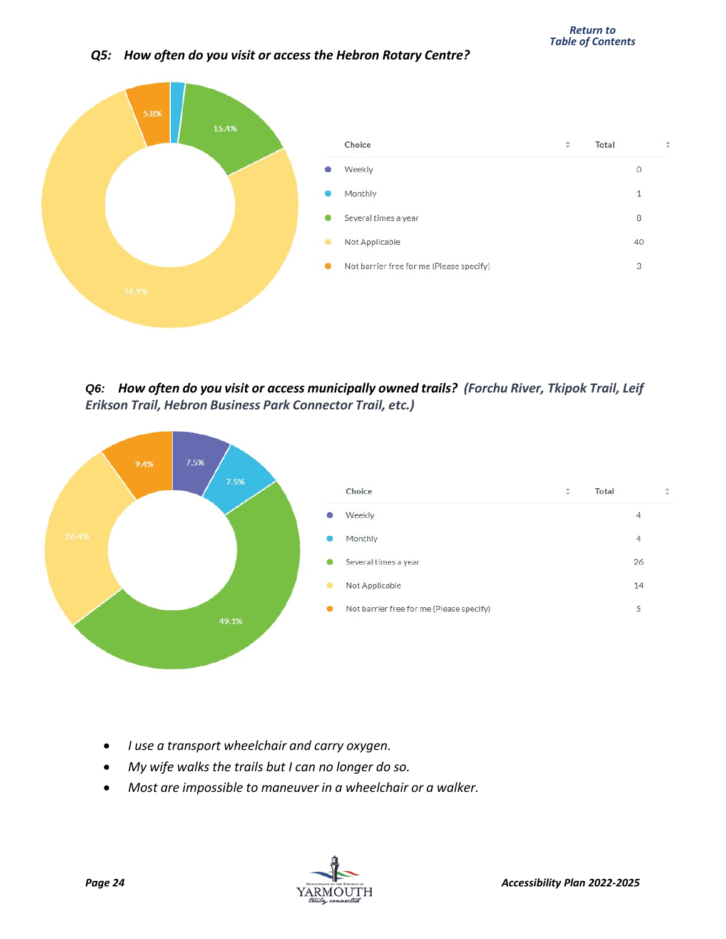#### *Q5: How often do you visit or access the Hebron Rotary Centre?*



*Q6: How often do you visit or access municipally owned trails? (Forchu River, Tkipok Trail, Leif Erikson Trail, Hebron Business Park Connector Trail, etc.)*



- *I use a transport wheelchair and carry oxygen.*
- *My wife walks the trails but I can no longer do so.*
- *Most are impossible to maneuver in a wheelchair or a walker.*

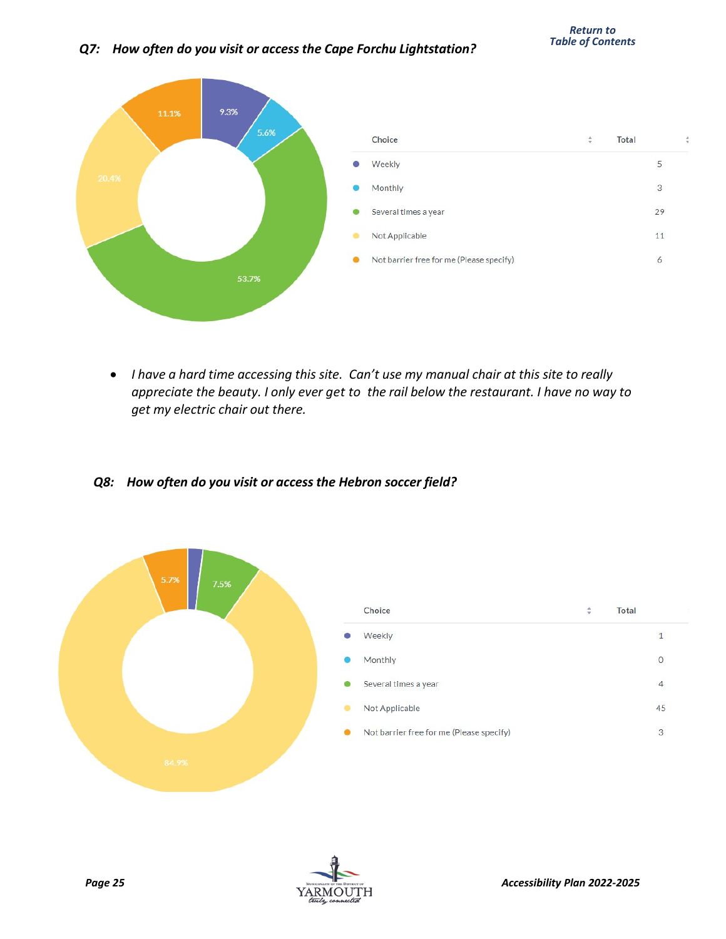#### *Q7: How often do you visit or access the Cape Forchu Lightstation?*



• *I have a hard time accessing this site. Can't use my manual chair at this site to really appreciate the beauty. I only ever get to the rail below the restaurant. I have no way to get my electric chair out there.*

#### *Q8: How often do you visit or access the Hebron soccer field?*



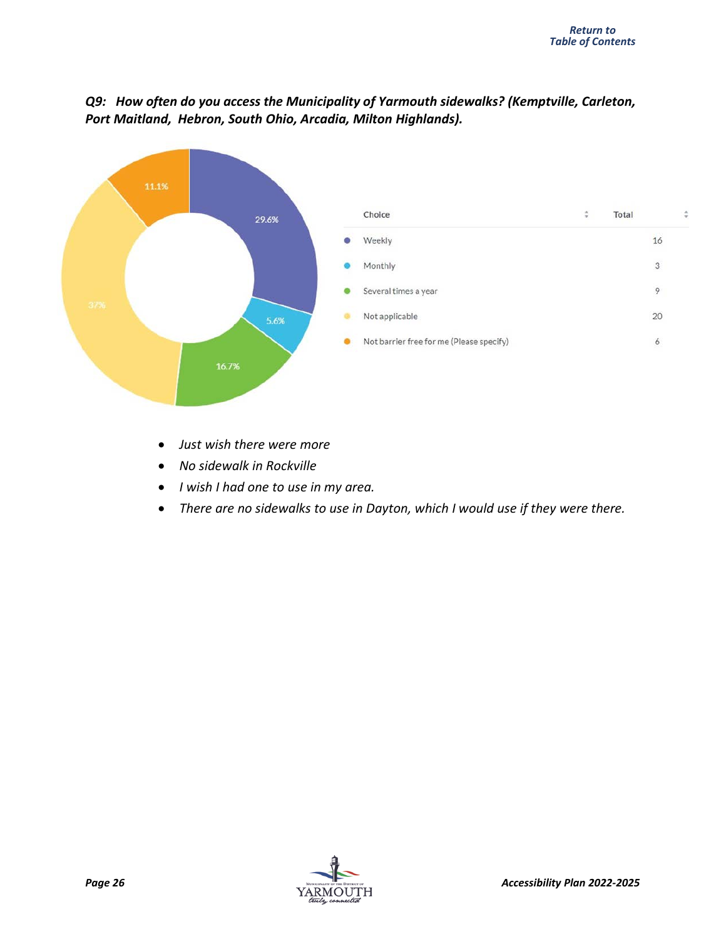

#### *Q9: How often do you access the Municipality of Yarmouth sidewalks? (Kemptville, Carleton, Port Maitland, Hebron, South Ohio, Arcadia, Milton Highlands).*

- *Just wish there were more*
- *No sidewalk in Rockville*
- *I wish I had one to use in my area.*
- *There are no sidewalks to use in Dayton, which I would use if they were there.*

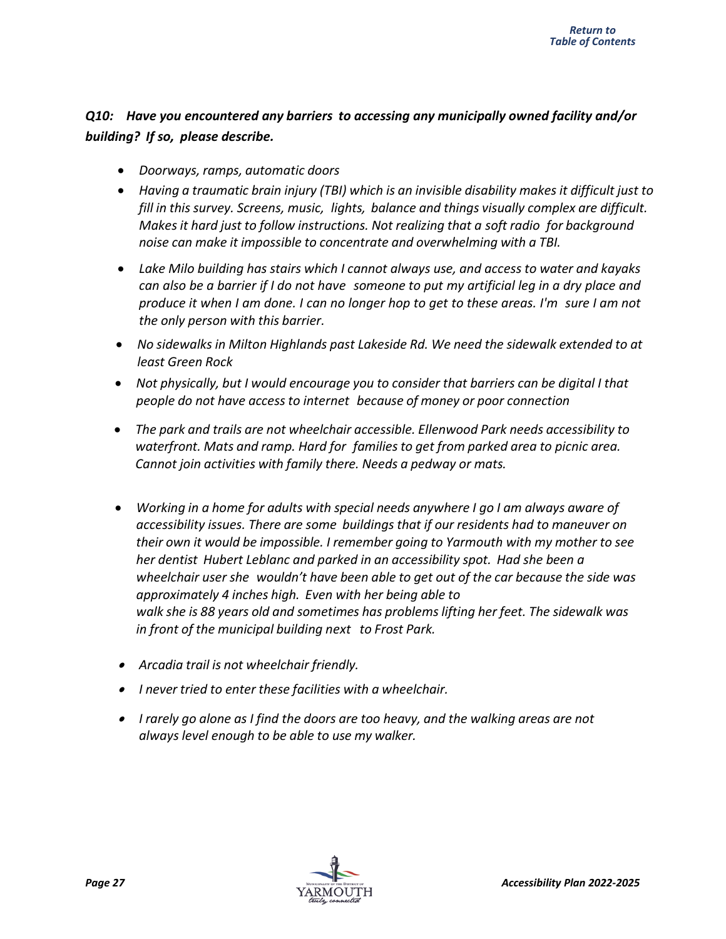#### *Q10: Have you encountered any barriers to accessing any municipally owned facility and/or building? If so, please describe.*

- *Doorways, ramps, automatic doors*
- *Having a traumatic brain injury (TBI) which is an invisible disability makes it difficult just to fill in this survey. Screens, music, lights, balance and things visually complex are difficult. Makes it hard just to follow instructions. Not realizing that a soft radio for background noise can make it impossible to concentrate and overwhelming with a TBI.*
- *Lake Milo building has stairs which I cannot always use, and access to water and kayaks* can also be a barrier if I do not have someone to put my artificial leg in a dry place and produce it when I am done. I can no longer hop to get to these areas. I'm sure I am not *the only person with this barrier.*
- *No sidewalks in Milton Highlands past Lakeside Rd. We need the sidewalk extended to at least Green Rock*
- *Not physically, but I would encourage you to consider that barriers can be digital I that people do not have access to internet because of money or poor connection*
- *The park and trails are not wheelchair accessible. Ellenwood Park needs accessibility to waterfront. Mats and ramp. Hard for familiesto get from parked area to picnic area. Cannot join activities with family there. Needs a pedway or mats.*
- *Working in a home for adults with special needs anywhere I go I am always aware of accessibility issues. There are some buildings that if our residents had to maneuver on their own it would be impossible. I remember going to Yarmouth with my mother to see her dentist Hubert Leblanc and parked in an accessibility spot. Had she been a wheelchair user she wouldn't have been able to get out of the car because the side was approximately 4 inches high. Even with her being able to walk she is 88 years old and sometimes has problems lifting her feet. The sidewalk was in front of the municipal building next to Frost Park.*
- *Arcadia trail is not wheelchair friendly.*
- *I never tried to enter these facilities with a wheelchair.*
- *I rarely go alone as I find the doors are too heavy, and the walking areas are not always level enough to be able to use my walker.*

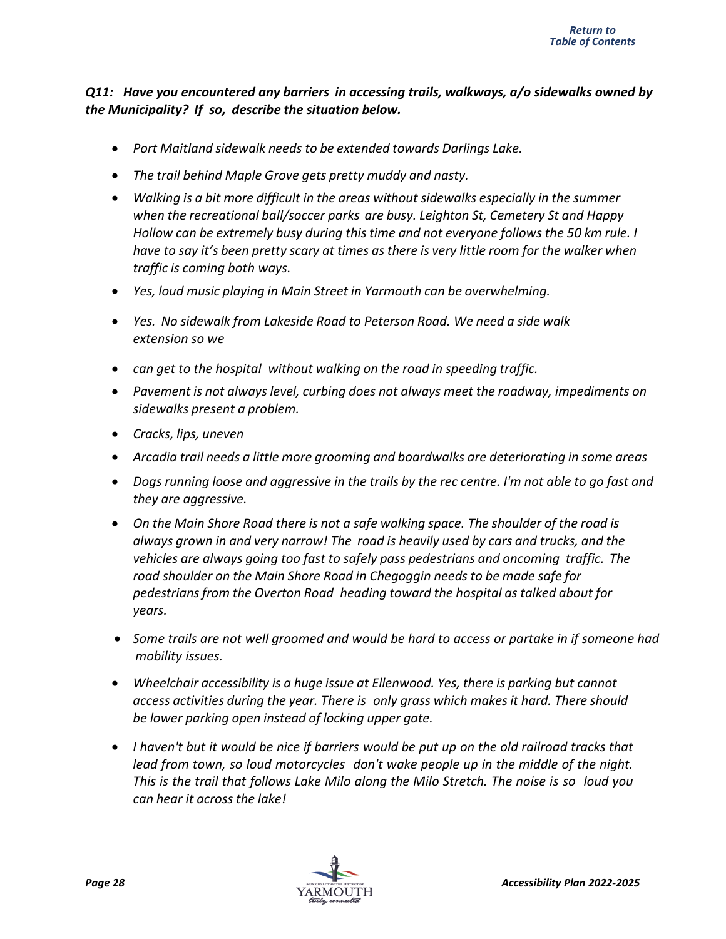#### *Q11: Have you encountered any barriers in accessing trails, walkways, a/o sidewalks owned by the Municipality? If so, describe the situation below.*

- *Port Maitland sidewalk needs to be extended towards Darlings Lake.*
- *The trail behind Maple Grove gets pretty muddy and nasty.*
- *Walking is a bit more difficult in the areas without sidewalks especially in the summer when the recreational ball/soccer parks are busy. Leighton St, Cemetery St and Happy Hollow can be extremely busy during this time and not everyone follows the 50 km rule. I* have to say it's been pretty scary at times as there is very little room for the walker when *traffic is coming both ways.*
- *Yes, loud music playing in Main Street in Yarmouth can be overwhelming.*
- *Yes. No sidewalk from Lakeside Road to Peterson Road. We need a side walk extension so we*
- *can get to the hospital without walking on the road in speeding traffic.*
- *Pavement is not alwayslevel, curbing does not always meet the roadway, impediments on sidewalks present a problem.*
- *Cracks, lips, uneven*
- *Arcadia trail needs a little more grooming and boardwalks are deteriorating in some areas*
- Dogs running loose and aggressive in the trails by the rec centre. I'm not able to go fast and *they are aggressive.*
- *On the Main Shore Road there is not a safe walking space. The shoulder of the road is always grown in and very narrow! The road is heavily used by cars and trucks, and the vehicles are always going too fast to safely pass pedestrians and oncoming traffic. The road shoulder on the Main Shore Road in Chegoggin needs to be made safe for pedestrians from the Overton Road heading toward the hospital as talked about for years.*
- *Some trails are not well groomed and would be hard to access or partake in if someone had mobility issues.*
- *Wheelchair accessibility is a huge issue at Ellenwood. Yes, there is parking but cannot access activities during the year. There is only grass which makes it hard. There should be lower parking open instead of locking upper gate.*
- I haven't but it would be nice if barriers would be put up on the old railroad tracks that *lead from town, so loud motorcycles don't wake people up in the middle of the night. This is the trail that follows Lake Milo along the Milo Stretch. The noise is so loud you can hear it across the lake!*

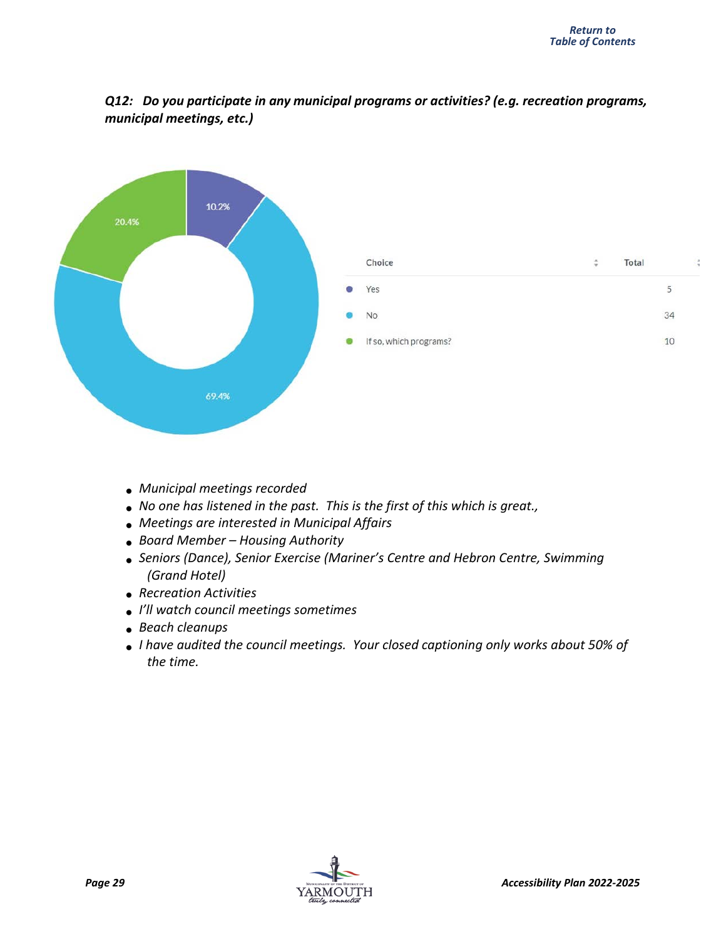



- *Municipal meetings recorded*
- *No one has listened in the past. This is the first of this which is great.,*
- *Meetings are interested in Municipal Affairs*
- *Board Member – Housing Authority*
- *Seniors (Dance), Senior Exercise (Mariner's Centre and Hebron Centre, Swimming (Grand Hotel)*
- *Recreation Activities*
- *I'll watch council meetings sometimes*
- *Beach cleanups*
- *I have audited the council meetings. Your closed captioning only works about 50% of the time.*

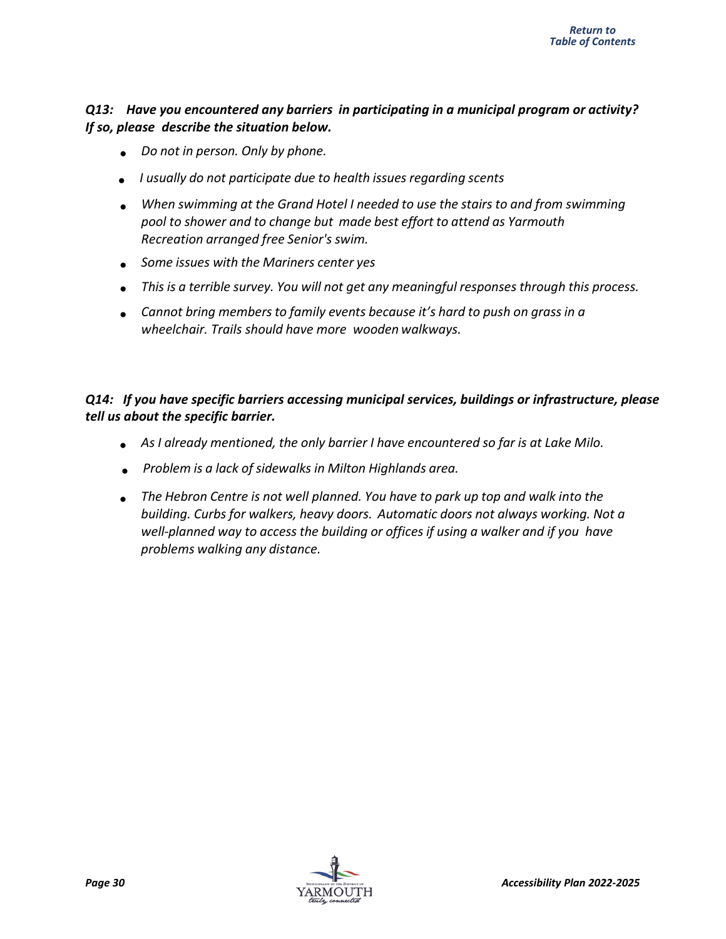#### *Q13: Have you encountered any barriers in participating in a municipal program or activity? If so, please describe the situation below.*

- *Do not in person. Only by phone.*
- *I usually do not participate due to health issues regarding scents*
- *When swimming at the Grand Hotel I needed to use the stairs to and from swimming pool to shower and to change but made best effort to attend as Yarmouth Recreation arranged free Senior's swim.*
- *Some issues with the Mariners center yes*
- *This is a terrible survey. You will not get any meaningful responses through this process.*
- *Cannot bring membersto family events because it's hard to push on grassin a wheelchair. Trails should have more wooden walkways.*

#### *Q14: If you have specific barriers accessing municipal services, buildings or infrastructure, please tell us about the specific barrier.*

- *As I already mentioned, the only barrier I have encountered so far is at Lake Milo.*
- *Problem is a lack of sidewalks in Milton Highlands area.*
- *The Hebron Centre is not well planned. You have to park up top and walk into the building. Curbs for walkers, heavy doors. Automatic doors not always working. Not a well-planned way to access the building or offices if using a walker and if you have problems walking any distance.*

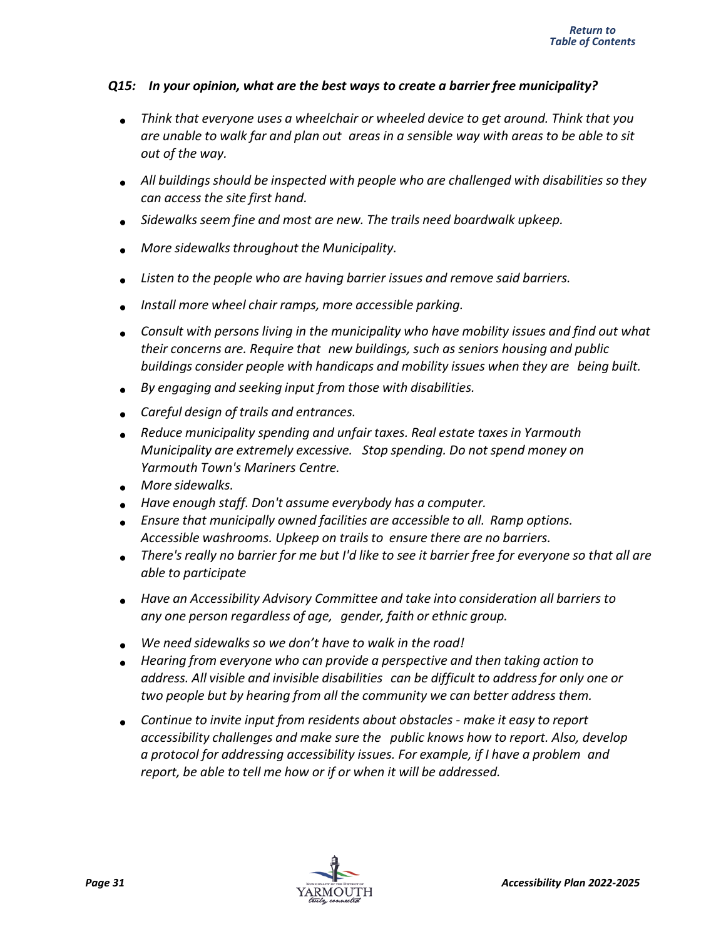#### *Q15: In your opinion, what are the best ways to create a barrier free municipality?*

- *Think that everyone uses a wheelchair or wheeled device to get around. Think that you* are unable to walk far and plan out areas in a sensible way with areas to be able to sit *out of the way.*
- *All buildings should be inspected with people who are challenged with disabilities so they can access the site first hand.*
- *Sidewalks seem fine and most are new. The trails need boardwalk upkeep.*
- *More sidewalksthroughout the Municipality.*
- *Listen to the people who are having barrier issues and remove said barriers.*
- *Install more wheel chair ramps, more accessible parking.*
- *Consult with persons living in the municipality who have mobility issues and find out what their concerns are. Require that new buildings, such as seniors housing and public buildings consider people with handicaps and mobility issues when they are being built.*
- *By engaging and seeking input from those with disabilities.*
- *Careful design of trails and entrances.*
- *Reduce municipality spending and unfair taxes. Real estate taxesin Yarmouth Municipality are extremely excessive. Stop spending. Do not spend money on Yarmouth Town's Mariners Centre.*
- *More sidewalks.*
- *Have enough staff. Don't assume everybody has a computer.*
- *Ensure that municipally owned facilities are accessible to all. Ramp options. Accessible washrooms. Upkeep on trailsto ensure there are no barriers.*
- There's really no barrier for me but I'd like to see it barrier free for everyone so that all are *able to participate*
- *Have an Accessibility Advisory Committee and take into consideration all barriers to any one person regardless of age, gender, faith or ethnic group.*
- *We need sidewalks so we don't have to walk in the road!*
- *Hearing from everyone who can provide a perspective and then taking action to address. All visible and invisible disabilities can be difficult to address for only one or two people but by hearing from all the community we can better address them.*
- *Continue to invite input from residents about obstacles - make it easy to report accessibility challenges and make sure the public knows how to report. Also, develop a protocol for addressing accessibility issues. For example, if I have a problem and report, be able to tell me how or if or when it will be addressed.*

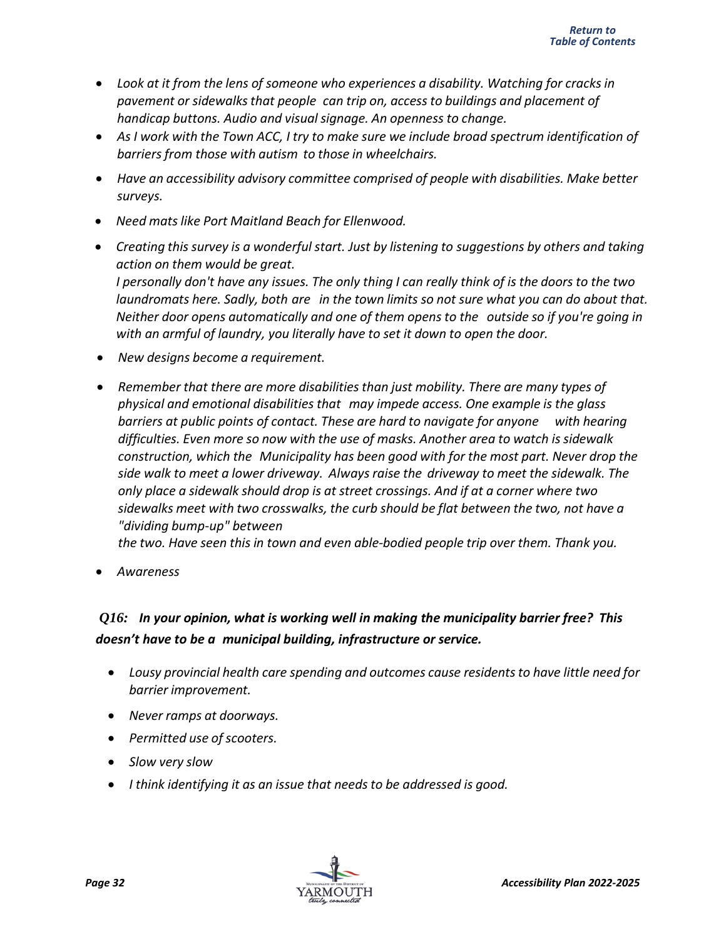- *Look at it from the lens of someone who experiences a disability. Watching for cracks in pavement or sidewalksthat people can trip on, accessto buildings and placement of handicap buttons. Audio and visualsignage. An openness to change.*
- *As I work with the Town ACC, I try to make sure we include broad spectrum identification of barriers from those with autism to those in wheelchairs.*
- *Have an accessibility advisory committee comprised of people with disabilities. Make better surveys.*
- *Need matslike Port Maitland Beach for Ellenwood.*
- *Creating this survey is a wonderful start. Just by listening to suggestions by others and taking action on them would be great.* I personally don't have any issues. The only thing I can really think of is the doors to the two *laundromats here. Sadly, both are in the town limits so not sure what you can do about that. Neither door opens automatically and one of them opens to the outside so if you're going in with an armful of laundry, you literally have to set it down to open the door.*
- *New designs become a requirement.*
- *Remember that there are more disabilitiesthan just mobility. There are many types of physical and emotional disabilities that may impede access. One example is the glass barriers at public points of contact. These are hard to navigate for anyone with hearing difficulties. Even more so now with the use of masks. Another area to watch is sidewalk construction, which the Municipality has been good with for the most part. Never drop the side walk to meet a lower driveway. Always raise the driveway to meet the sidewalk. The only place a sidewalk should drop is at street crossings. And if at a corner where two sidewalks meet with two crosswalks, the curb should be flat between the two, not have a "dividing bump-up" between*

*the two. Have seen this in town and even able-bodied people trip over them. Thank you.*

• *Awareness*

## *Q16: In your opinion, what is working well in making the municipality barrier free? This doesn't have to be a municipal building, infrastructure or service.*

- *Lousy provincial health care spending and outcomes cause residentsto have little need for barrier improvement.*
- *Never ramps at doorways.*
- *Permitted use of scooters.*
- *Slow very slow*
- *I think identifying it as an issue that needsto be addressed is good.*

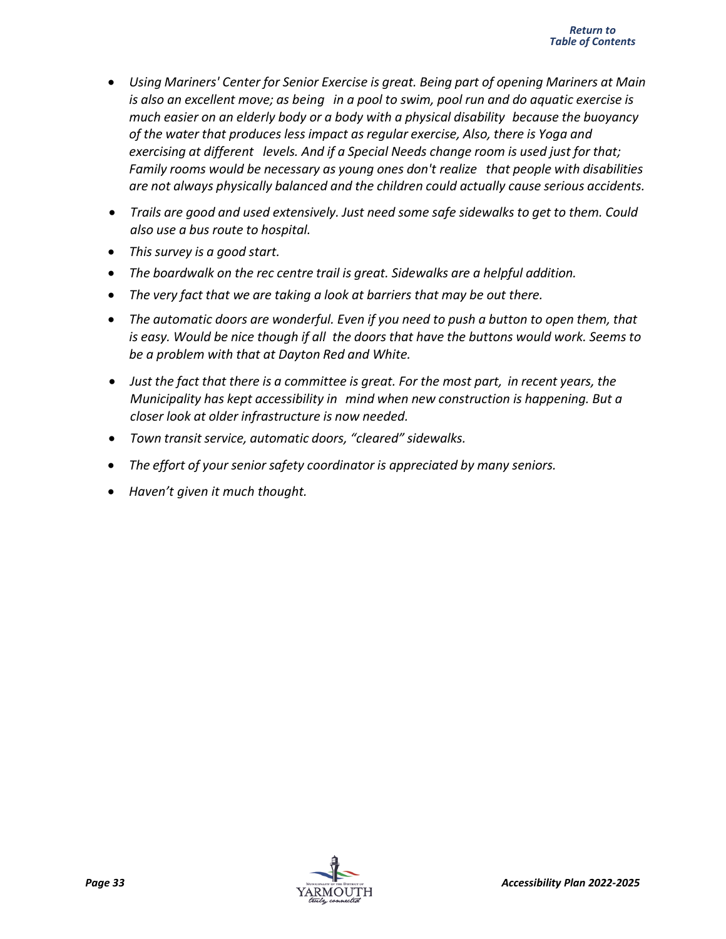- *Using Mariners' Center for Senior Exercise is great. Being part of opening Mariners at Main is also an excellent move; as being in a pool to swim, pool run and do aquatic exercise is much easier on an elderly body or a body with a physical disability because the buoyancy of the water that produces less impact as regular exercise, Also, there is Yoga and exercising at different levels. And if a Special Needs change room is used just for that; Family rooms would be necessary as young ones don't realize that people with disabilities are not always physically balanced and the children could actually cause serious accidents.*
- *Trails are good and used extensively. Just need some safe sidewalks to get to them. Could also use a bus route to hospital.*
- *This survey is a good start.*
- *The boardwalk on the rec centre trail is great. Sidewalks are a helpful addition.*
- *The very fact that we are taking a look at barriers that may be out there.*
- *The automatic doors are wonderful. Even if you need to push a button to open them, that is easy. Would be nice though if all the doors that have the buttons would work. Seems to be a problem with that at Dayton Red and White.*
- *Just the fact that there is a committee is great. For the most part, in recent years, the Municipality has kept accessibility in mind when new construction is happening. But a closer look at older infrastructure is now needed.*
- *Town transit service, automatic doors, "cleared" sidewalks.*
- *The effort of your senior safety coordinator is appreciated by many seniors.*
- *Haven't given it much thought.*

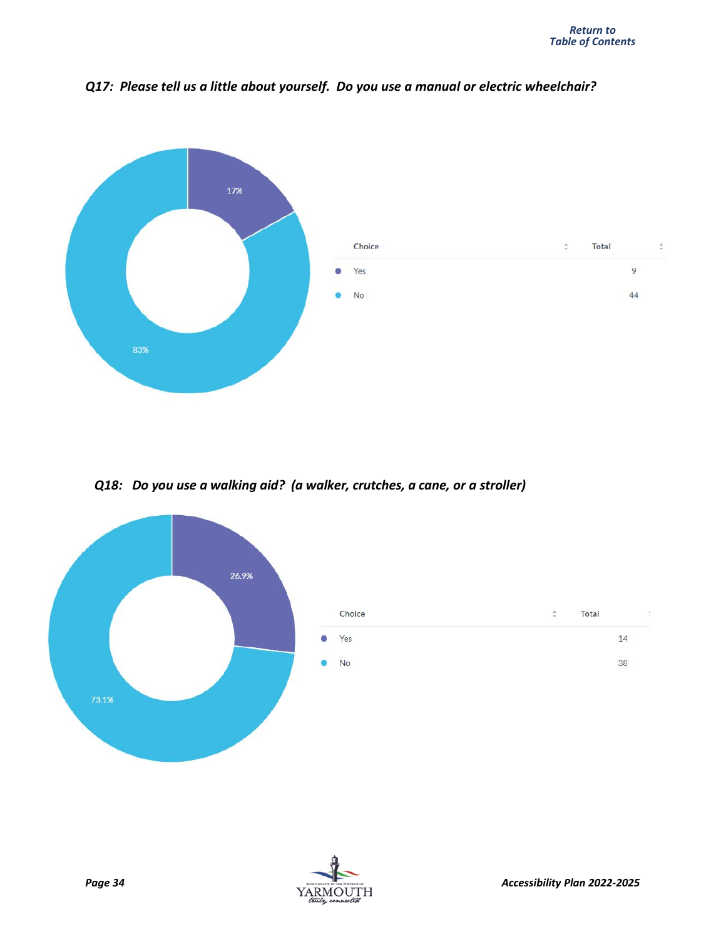

*Q17: Please tell us a little about yourself. Do you use a manual or electric wheelchair?*

*Q18: Do you use a walking aid? (a walker, crutches, a cane, or a stroller)*



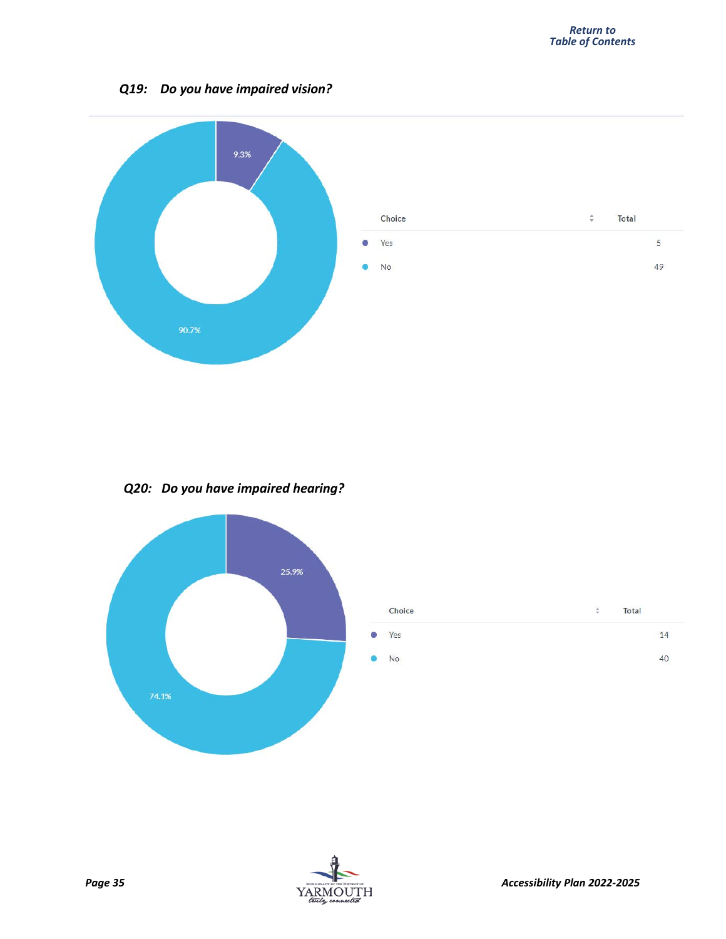#### *Q19: Do you have impaired vision?*



*Q20: Do you have impaired hearing?*



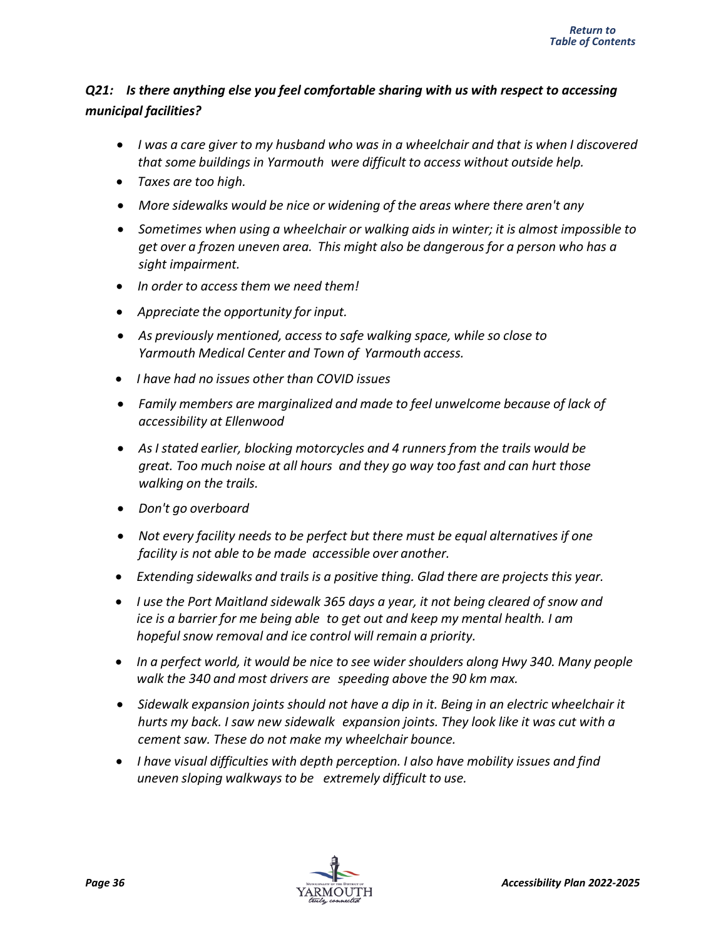#### *Q21: Is there anything else you feel comfortable sharing with us with respect to accessing municipal facilities?*

- *I was a care giver to my husband who was in a wheelchair and that is when I discovered that some buildings in Yarmouth were difficult to access without outside help.*
- *Taxes are too high.*
- *More sidewalks would be nice or widening of the areas where there aren't any*
- *Sometimes when using a wheelchair or walking aids in winter; it is almost impossible to get over a frozen uneven area. This might also be dangerous for a person who has a sight impairment.*
- *In order to accessthem we need them!*
- *Appreciate the opportunity for input.*
- *As previously mentioned, accessto safe walking space, while so close to Yarmouth Medical Center and Town of Yarmouth access.*
- *I have had no issues other than COVID issues*
- *Family members are marginalized and made to feel unwelcome because of lack of accessibility at Ellenwood*
- *As I stated earlier, blocking motorcycles and 4 runners from the trails would be great. Too much noise at all hours and they go way too fast and can hurt those walking on the trails.*
- *Don't go overboard*
- *Not every facility needs to be perfect but there must be equal alternatives if one facility is not able to be made accessible over another.*
- *Extending sidewalks and trails is a positive thing. Glad there are projects this year.*
- *I use the Port Maitland sidewalk 365 days a year, it not being cleared of snow and ice is a barrier for me being able to get out and keep my mental health. I am hopeful snow removal and ice control will remain a priority.*
- *In a perfect world, it would be nice to see wider shoulders along Hwy 340. Many people walk the 340 and most drivers are speeding above the 90 km max.*
- *Sidewalk expansion joints should not have a dip in it. Being in an electric wheelchair it hurts my back. I saw new sidewalk expansion joints. They look like it was cut with a cement saw. These do not make my wheelchair bounce.*
- *I have visual difficulties with depth perception. I also have mobility issues and find uneven sloping walkwaysto be extremely difficult to use.*

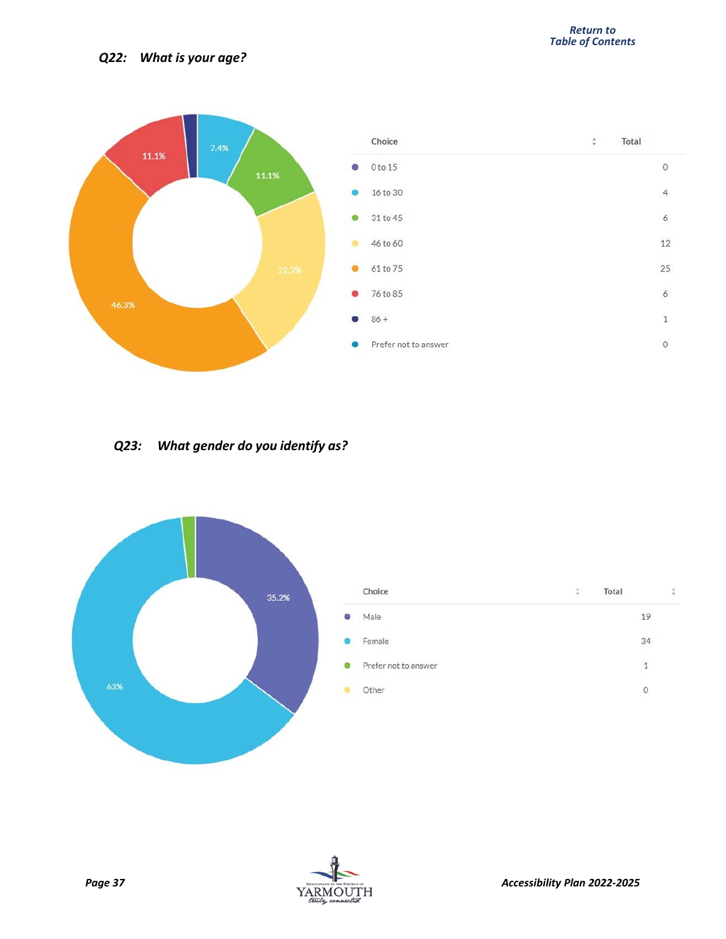

#### *Q23: What gender do you identify as?*



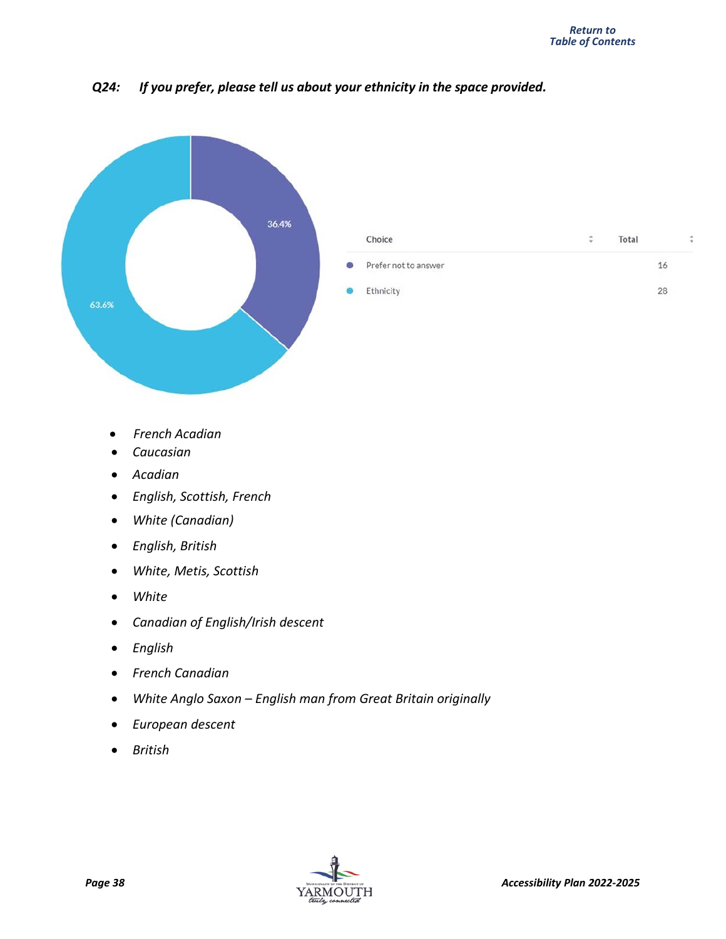

#### *Q24: If you prefer, please tell us about your ethnicity in the space provided.*

- *French Acadian*
- *Caucasian*
- *Acadian*
- *English, Scottish, French*
- *White (Canadian)*
- *English, British*
- *White, Metis, Scottish*
- *White*
- *Canadian of English/Irish descent*
- *English*
- *French Canadian*
- *White Anglo Saxon – English man from Great Britain originally*
- *European descent*
- *British*

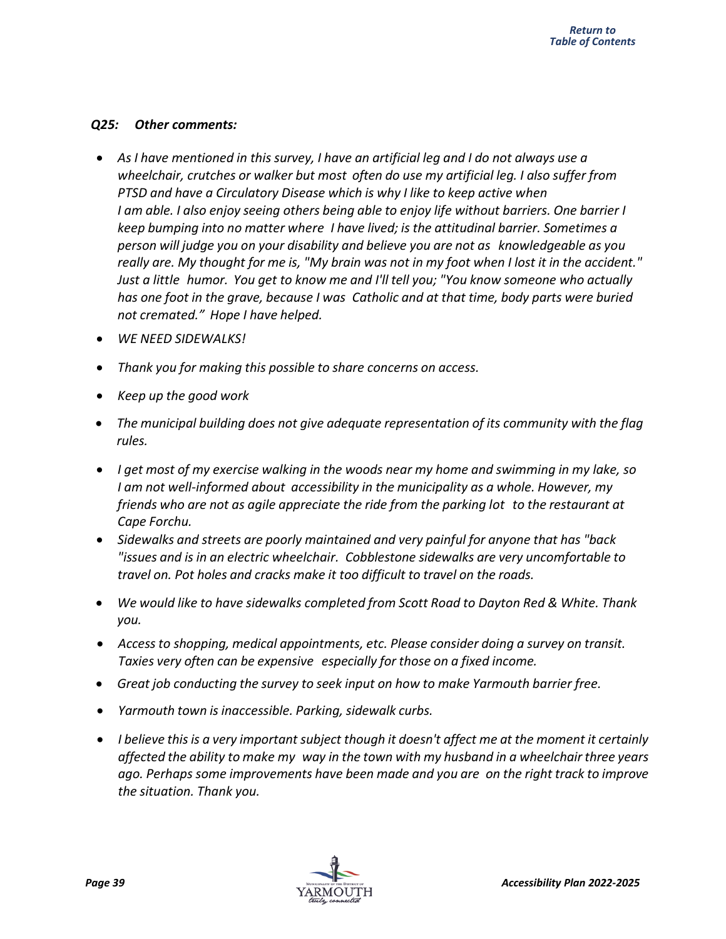#### *Q25: Other comments:*

- *As I have mentioned in this survey, I have an artificial leg and I do not always use a wheelchair, crutches or walker but most often do use my artificial leg. I also suffer from PTSD and have a Circulatory Disease which is why I like to keep active when I am able. I also enjoy seeing others being able to enjoy life without barriers. One barrier I keep bumping into no matter where I have lived; is the attitudinal barrier. Sometimes a person will judge you on your disability and believe you are not as knowledgeable as you* really are. My thought for me is, "My brain was not in my foot when I lost it in the accident." *Just a little humor. You get to know me and I'll tell you; "You know someone who actually has one foot in the grave, because I was Catholic and at that time, body parts were buried not cremated." Hope I have helped.*
- *WE NEED SIDEWALKS!*
- *Thank you for making this possible to share concerns on access.*
- *Keep up the good work*
- *The municipal building does not give adequate representation of its community with the flag rules.*
- *I get most of my exercise walking in the woods near my home and swimming in my lake, so I am not well-informed about accessibility in the municipality as a whole. However, my friends who are not as agile appreciate the ride from the parking lot to the restaurant at Cape Forchu.*
- *Sidewalks and streets are poorly maintained and very painful for anyone that has "back "issues and is in an electric wheelchair. Cobblestone sidewalks are very uncomfortable to travel on. Pot holes and cracks make it too difficult to travel on the roads.*
- *We would like to have sidewalks completed from Scott Road to Dayton Red & White. Thank you.*
- *Accessto shopping, medical appointments, etc. Please consider doing a survey on transit. Taxies very often can be expensive especially for those on a fixed income.*
- *Great job conducting the survey to seek input on how to make Yarmouth barrier free.*
- *Yarmouth town is inaccessible. Parking, sidewalk curbs.*
- *I believe thisis a very important subject though it doesn't affect me at the moment it certainly affected the ability to make my way in the town with my husband in a wheelchair three years ago. Perhaps some improvements have been made and you are on the right track to improve the situation. Thank you.*

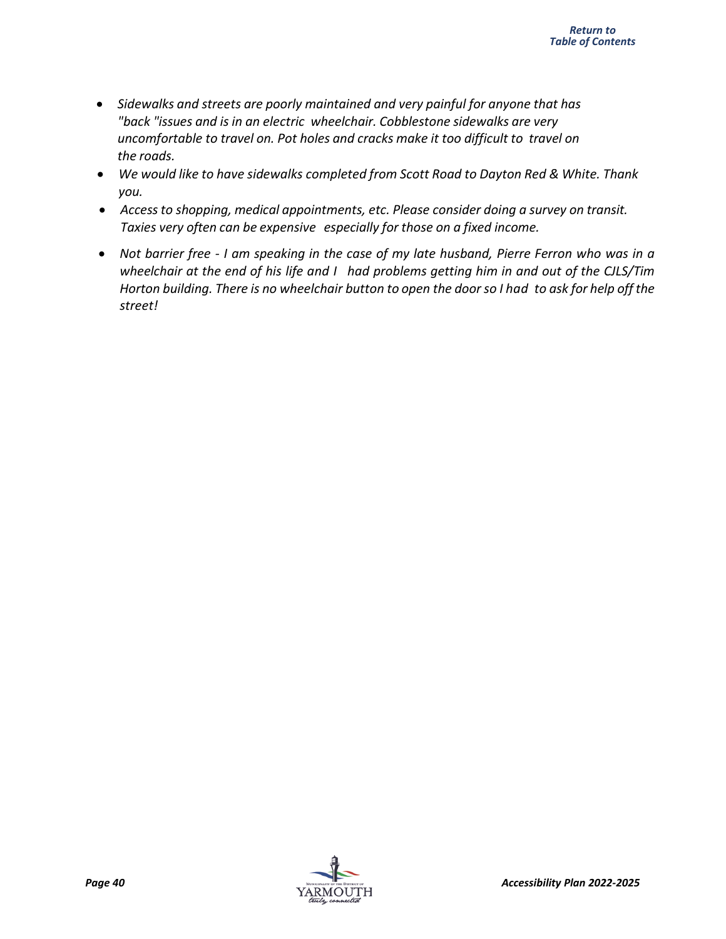- *Sidewalks and streets are poorly maintained and very painful for anyone that has "back "issues and is in an electric wheelchair. Cobblestone sidewalks are very uncomfortable to travel on. Pot holes and cracks make it too difficult to travel on the roads.*
- *We would like to have sidewalks completed from Scott Road to Dayton Red & White. Thank you.*
- *Accessto shopping, medical appointments, etc. Please consider doing a survey on transit. Taxies very often can be expensive especially for those on a fixed income.*
- Not barrier free I am speaking in the case of my late husband, Pierre Ferron who was in a *wheelchair at the end of his life and I had problems getting him in and out of the CJLS/Tim* Horton building. There is no wheelchair button to open the door so I had to ask for help off the *street!*